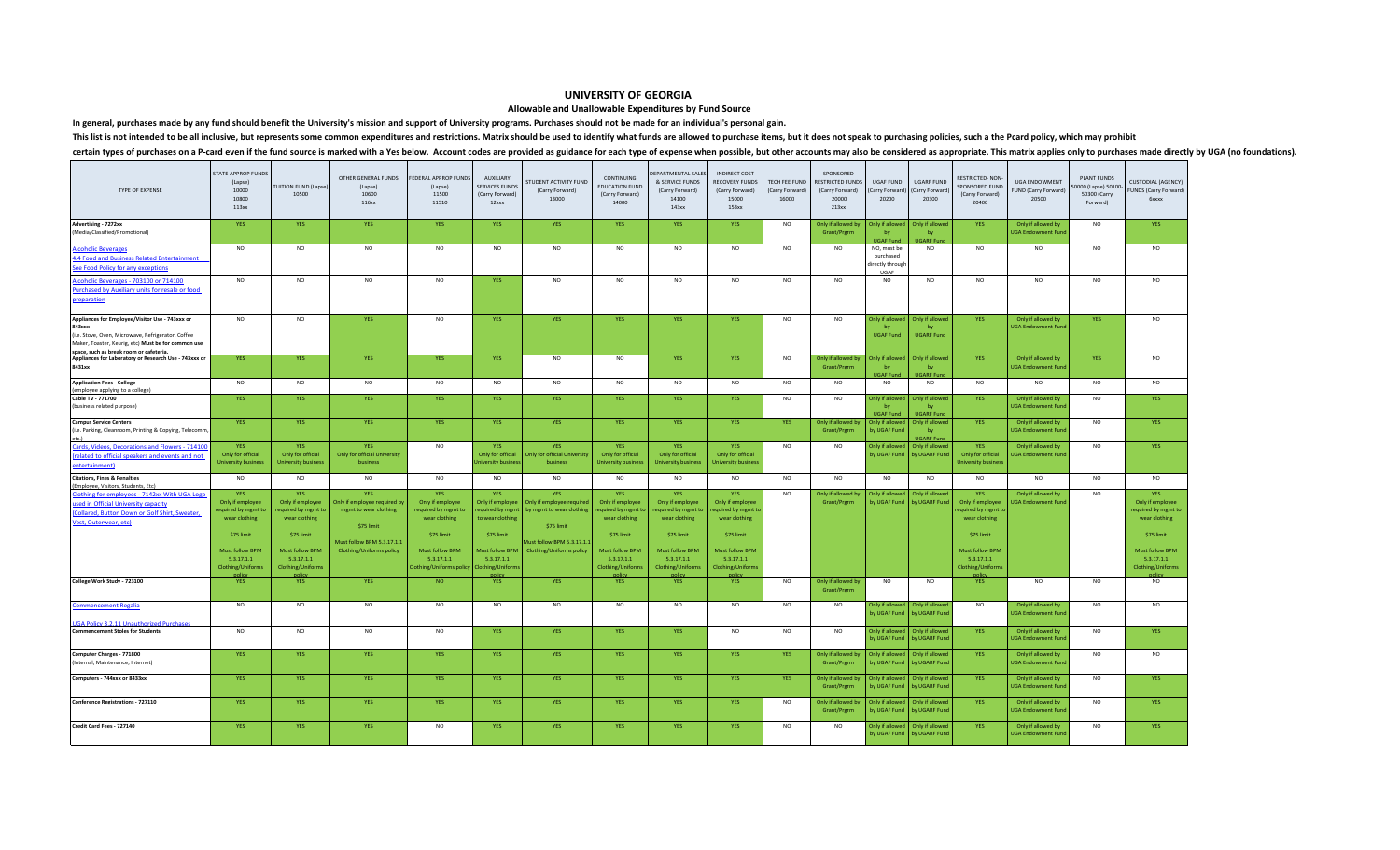## **UNIVERSITY OF GEORGIA**

## **Allowable and Unallowable Expenditures by Fund Source**

**In general, purchases made by any fund should benefit the University's mission and support of University programs. Purchases should not be made for an individual's personal gain.**

This list is not intended to be all inclusive, but represents some common expenditures and restrictions. Matrix should be used to identify what funds are allowed to purchase items, but it does not speak to purchasing polic

## certain types of purchases on a P-card even if the fund source is marked with a Yes below. Account codes are provided as guidance for each type of expense when possible, but other accounts may also be considered as appropr

| TYPE OF EXPENSE                                                                                                                                                                                                  | <b>STATE APPROP FUNDS</b><br>(Lapse)<br>10000<br>10800<br>113xx                                                                                  | <b>FUITION FUND (Lapse)</b><br>10500                                                                                                      | OTHER GENERAL FUNDS<br>(Lapse)<br>10600<br>116xx                                                                                                   | FEDERAL APPROP FUNDS<br>(Lapse)<br>11500<br>11510                                                                                                | AUXILIARY<br>SERVICES FUNDS<br>(Carry Forward<br>12xxx                                                                                         | STUDENT ACTIVITY FUND<br>(Carry Forward)<br>13000                                                                                          | CONTINUING<br><b>EDUCATION FUND</b><br>(Carry Forward)<br>14000                                                                          | <b>DEPARTMENTAL SALES</b><br>& SERVICE FUNDS<br>(Carry Forward)<br>14100<br>143xx                                                   | <b>INDIRECT COST</b><br>RECOVERY FUNDS<br>(Carry Forward)<br>15000<br>153xx                                                              | TECH FEE FUND<br>(Carry Forward)<br>16000 | SPONSORED<br>RESTRICTED FUNDS<br>(Carry Forward)<br>20000<br>213xx | UGAF FUND<br>Carry Forward<br>20200                  | <b>UGARF FUND</b><br>Carry Forward)<br>20300 | RESTRICTED-NON-<br>SPONSORED FUND<br>(Carry Forward)<br>20400                                                                                  | <b>UGA ENDOWMENT</b><br>UND (Carry Forward)<br>20500 | <b>PLANT FUNDS</b><br>0000 (Lapse) 50100<br>50300 (Carry<br>Forward) | <b>CUSTODIAL (AGENCY)</b><br>FUNDS (Carry Forward)<br><b>6xxxx</b>                                                                               |
|------------------------------------------------------------------------------------------------------------------------------------------------------------------------------------------------------------------|--------------------------------------------------------------------------------------------------------------------------------------------------|-------------------------------------------------------------------------------------------------------------------------------------------|----------------------------------------------------------------------------------------------------------------------------------------------------|--------------------------------------------------------------------------------------------------------------------------------------------------|------------------------------------------------------------------------------------------------------------------------------------------------|--------------------------------------------------------------------------------------------------------------------------------------------|------------------------------------------------------------------------------------------------------------------------------------------|-------------------------------------------------------------------------------------------------------------------------------------|------------------------------------------------------------------------------------------------------------------------------------------|-------------------------------------------|--------------------------------------------------------------------|------------------------------------------------------|----------------------------------------------|------------------------------------------------------------------------------------------------------------------------------------------------|------------------------------------------------------|----------------------------------------------------------------------|--------------------------------------------------------------------------------------------------------------------------------------------------|
| <b>Advertising - 7272xx</b><br>(Media/Classified/Promotional)                                                                                                                                                    | YES                                                                                                                                              | <b>YES</b>                                                                                                                                | YES                                                                                                                                                | <b>YES</b>                                                                                                                                       | <b>YES</b>                                                                                                                                     | <b>YES</b>                                                                                                                                 | YES                                                                                                                                      | YES                                                                                                                                 | YES                                                                                                                                      | NO.                                       | Only if allowed by<br>Grant/Prgrm                                  | Only if allow<br>bv<br><b>UGAF Fund</b>              | Only if allowe<br>by<br><b>GARF Fund</b>     | YES                                                                                                                                            | Only if allowed by<br><b>UGA Endowment Fun</b>       | <b>NO</b>                                                            | YES                                                                                                                                              |
| <b>Alcoholic Beverages</b><br>1.4 Food and Business Related Entertainment<br>See Food Policy for any exceptions                                                                                                  | <b>NO</b>                                                                                                                                        | <b>NO</b>                                                                                                                                 | <b>NO</b>                                                                                                                                          | <b>NO</b>                                                                                                                                        | <b>NO</b>                                                                                                                                      | <b>NO</b>                                                                                                                                  | <b>NO</b>                                                                                                                                | <b>NO</b>                                                                                                                           | <b>NO</b>                                                                                                                                | <b>NO</b>                                 | <b>NO</b>                                                          | NO, must be<br>purchased<br>directly through<br>UGAF | <b>NO</b>                                    | <b>NO</b>                                                                                                                                      | <b>NO</b>                                            | <b>NO</b>                                                            | <b>NO</b>                                                                                                                                        |
| Alcoholic Beverages - 703100 or 714100<br>Purchased by Auxiliary units for resale or food<br>preparation                                                                                                         | NO                                                                                                                                               | $_{\sf NO}$                                                                                                                               | <b>NO</b>                                                                                                                                          | <b>NO</b>                                                                                                                                        | <b>YES</b>                                                                                                                                     | <b>NO</b>                                                                                                                                  | <b>NO</b>                                                                                                                                | NO                                                                                                                                  | <b>NO</b>                                                                                                                                | <b>NO</b>                                 | <b>NO</b>                                                          | <b>NO</b>                                            | <b>NO</b>                                    | <b>NO</b>                                                                                                                                      | <b>NO</b>                                            | <b>NO</b>                                                            | N <sub>O</sub>                                                                                                                                   |
| Appliances for Employee/Visitor Use - 743xxx or<br>843xxx<br>(i.e. Stove, Oven, Microwave, Refrigerator, Coffee<br>Maker, Toaster, Keurig, etc) Must be for common use<br>space, such as break room or cafeteria | <b>NO</b>                                                                                                                                        | $_{\sf NO}$                                                                                                                               | <b>YES</b>                                                                                                                                         | <b>NO</b>                                                                                                                                        | <b>YES</b>                                                                                                                                     | YES                                                                                                                                        | <b>YES</b>                                                                                                                               | <b>YES</b>                                                                                                                          | <b>YES</b>                                                                                                                               | <b>NO</b>                                 | <b>NO</b>                                                          | Only if allowed<br>by<br><b>UGAF Fund</b>            | Only if allowed<br>bv<br><b>UGARF Fund</b>   | <b>YES</b>                                                                                                                                     | Only if allowed by<br><b>UGA Endowment Fund</b>      | <b>YES</b>                                                           | NO.                                                                                                                                              |
| Appliances for Laboratory or Research Use - 743xxx or<br>8431xx                                                                                                                                                  | <b>YES</b>                                                                                                                                       | <b>YES</b>                                                                                                                                | <b>YES</b>                                                                                                                                         | <b>YES</b>                                                                                                                                       | <b>YES</b>                                                                                                                                     | <b>NO</b>                                                                                                                                  | <b>NO</b>                                                                                                                                | YES                                                                                                                                 | <b>YES</b>                                                                                                                               | <b>NO</b>                                 | Only if allowed by<br>Grant/Prgrm                                  | Only if allowed<br>bv<br><b>UGAF Fund</b>            | Only if allowed<br><b>UGARF Fund</b>         | <b>YES</b>                                                                                                                                     | Only if allowed by<br><b>UGA Endowment Fund</b>      | YES                                                                  | <b>NO</b>                                                                                                                                        |
| <b>Application Fees - College</b><br>(employee applying to a college)                                                                                                                                            | <b>NO</b>                                                                                                                                        | $_{\sf NO}$                                                                                                                               | <b>NO</b>                                                                                                                                          | <b>NO</b>                                                                                                                                        | <b>NO</b>                                                                                                                                      | <b>NO</b>                                                                                                                                  | <b>NO</b>                                                                                                                                | <b>NO</b>                                                                                                                           | <b>NO</b>                                                                                                                                | N <sub>O</sub>                            | <b>NO</b>                                                          | <b>NO</b>                                            | <b>NO</b>                                    | <b>NO</b>                                                                                                                                      | NO.                                                  | <b>NO</b>                                                            | <b>NO</b>                                                                                                                                        |
| Cable TV - 771700<br>(business related purpose)                                                                                                                                                                  | YES                                                                                                                                              | <b>YES</b>                                                                                                                                | <b>YES</b>                                                                                                                                         | <b>YES</b>                                                                                                                                       | <b>YES</b>                                                                                                                                     | YES                                                                                                                                        | <b>YES</b>                                                                                                                               | YES.                                                                                                                                | <b>YES</b>                                                                                                                               | <b>NO</b>                                 | <b>NO</b>                                                          | Only if allowe<br>by<br><b>UGAF Fund</b>             | Only if allowed<br>by<br><b>JGARF</b> Fund   | <b>YES</b>                                                                                                                                     | Only if allowed by<br><b>UGA Endowment Fund</b>      | <b>NO</b>                                                            | <b>YES</b>                                                                                                                                       |
| <b>Campus Service Centers</b><br>(i.e. Parking, Cleanroom, Printing & Copying, Telecomm                                                                                                                          | YES                                                                                                                                              | <b>YES</b>                                                                                                                                | <b>YES</b>                                                                                                                                         | <b>YES</b>                                                                                                                                       | <b>YES</b>                                                                                                                                     | YES                                                                                                                                        | <b>YES</b>                                                                                                                               | <b>YES</b>                                                                                                                          | <b>YES</b>                                                                                                                               | <b>YES</b>                                | Only if allowed by<br>Grant/Prgrm                                  | Only if allowed<br>by UGAF Fund                      | Only if allowed<br>bv<br><b>UGARF Fund</b>   | <b>YES</b>                                                                                                                                     | Only if allowed by<br><b>UGA Endowment Fund</b>      | <b>NO</b>                                                            | <b>YES</b>                                                                                                                                       |
| Cards, Videos, Decorations and Flowers - 71410<br>(related to official speakers and events and not<br>entertainment)                                                                                             | <b>YES</b><br>Only for official<br><b>University business</b>                                                                                    | <b>YES</b><br>Only for official<br><b>University business</b>                                                                             | <b>YES</b><br><b>Only for official University</b><br>business                                                                                      | <b>NO</b>                                                                                                                                        | YES.<br>Only for official<br>niversity busine                                                                                                  | <b>YES</b><br><b>Only for official University</b><br>business                                                                              | <b>YES</b><br>Only for official<br><b>Jniversity busines:</b>                                                                            | YES.<br>Only for official<br><b>University business</b>                                                                             | <b>YES</b><br>Only for official<br><b>Jniversity busines</b>                                                                             | <b>NO</b>                                 | <b>NO</b>                                                          | <b>Only if allowed</b><br>by UGAF Fund               | Only if allowed<br>by UGARF Fund             | <b>YES</b><br>Only for official<br><b>Jniversity busines</b>                                                                                   | Only if allowed by<br><b>GA Endowment Fund</b>       | N <sub>O</sub>                                                       | <b>YES</b>                                                                                                                                       |
| <b>Citations, Fines &amp; Penalties</b><br>(Employee, Visitors, Students, Etc)                                                                                                                                   | <b>NO</b>                                                                                                                                        | <b>NO</b>                                                                                                                                 | <b>NO</b>                                                                                                                                          | <b>NO</b>                                                                                                                                        | <b>NO</b>                                                                                                                                      | <b>NO</b>                                                                                                                                  | <b>NO</b>                                                                                                                                | <b>NO</b>                                                                                                                           | <b>NO</b>                                                                                                                                | <b>NO</b>                                 | <b>NO</b>                                                          | <b>NO</b>                                            | <b>NO</b>                                    | <b>NO</b>                                                                                                                                      | <b>NO</b>                                            | <b>NO</b>                                                            | <b>NO</b>                                                                                                                                        |
| lothing for employees - 7142xx With UGA Logo<br>used in Official University capacity<br>Collared, Button Down or Golf Shirt, Sweater,<br>/est, Outerwear, etc)                                                   | <b>YES</b><br>Only if employee<br>equired by mgmt to<br>wear clothing<br>\$75 limit<br><b>Must follow BPM</b><br>5.3.17.1.1<br>Clothing/Uniforms | <b>YES</b><br>Only if employee<br>equired by mgmt to<br>wear clothing<br>\$75 limit<br>Must follow BPM<br>5.3.17.1.1<br>Clothing/Uniforms | <b>YES</b><br>Only if employee required by<br>mgmt to wear clothing<br>\$75 limit<br>Must follow BPM 5.3.17.1.1<br><b>Clothing/Uniforms policy</b> | <b>YES</b><br>Only if employee<br>required by mgmt to<br>wear clothing<br>\$75 limit<br>Must follow BPM<br>5.3.17.1.1<br>lothing/Uniforms policy | <b>YES</b><br>Only if employee<br>equired by mgmt<br>to wear clothing<br>\$75 limit<br><b>Aust follow BPM</b><br>5.3.17.1.1<br>lothing/Uniforr | <b>YES</b><br>Only if employee required<br>by mgmt to wear clothing<br>\$75 limit<br>Aust follow BPM 5.3.17.1.<br>Clothing/Uniforms policy | <b>YES</b><br>Only if employee<br>equired by mgmt t<br>wear clothing<br>\$75 limit<br>Must follow BPM<br>5.3.17.1.1<br>Clothing/Uniforms | YES.<br>Only if employee<br>equired by mgmt to<br>wear clothing<br>\$75 limit<br>Must follow BPM<br>5.3.17.1.1<br>Clothing/Uniforms | <b>YES</b><br>Only if employee<br>equired by mgmt t<br>wear clothing<br>\$75 limit<br>Must follow BPM<br>5.3.17.1.1<br>Clothing/Uniforms | <b>NO</b>                                 | Only if allowed by<br>Grant/Prgrm                                  | Only if allowed<br>by UGAF Fund                      | Only if allowed<br>by UGARF Fund             | <b>YES</b><br>Only if employee<br>equired by mgmt t<br>wear clothing<br>\$75 limit<br>Must follow <b>BPM</b><br>5.3.17.1.1<br>Clothing/Uniform | Only if allowed by<br><b>GA Endowment Fund</b>       | <b>NO</b>                                                            | <b>YES</b><br>Only if employee<br>equired by mgmt to<br>wear clothing<br>\$75 limit<br><b>Must follow BPM</b><br>5.3.17.1.1<br>Clothing/Uniforms |
| College Work Study - 723100                                                                                                                                                                                      | YES                                                                                                                                              | <b>YES</b>                                                                                                                                | <b>YES</b>                                                                                                                                         | <b>NO</b>                                                                                                                                        | <b>YES</b>                                                                                                                                     | <b>YES</b>                                                                                                                                 | <b>YES</b>                                                                                                                               | YES                                                                                                                                 | YES                                                                                                                                      | NO.                                       | Only if allowed by<br>Grant/Prgrm                                  | <b>NO</b>                                            | <b>NO</b>                                    | <b>YES</b>                                                                                                                                     | <b>NO</b>                                            | <b>NO</b>                                                            | <b>NO</b>                                                                                                                                        |
| ommencement Regalia<br>GA Policy 3.2.11 Unauthorized                                                                                                                                                             | <b>NO</b>                                                                                                                                        | <b>NO</b>                                                                                                                                 | <b>NO</b>                                                                                                                                          | <b>NO</b>                                                                                                                                        | <b>NO</b>                                                                                                                                      | NO.                                                                                                                                        | <b>NO</b>                                                                                                                                | <b>NO</b>                                                                                                                           | <b>NO</b>                                                                                                                                | <b>NO</b>                                 | <b>NO</b>                                                          | Only if allowed<br>by UGAF Fund                      | Only if allowed<br>by UGARF Fund             | <b>NO</b>                                                                                                                                      | Only if allowed by<br><b>UGA Endowment Fund</b>      | <b>NO</b>                                                            | NO.                                                                                                                                              |
| <b>Commencement Stoles for Students</b>                                                                                                                                                                          | NO                                                                                                                                               | <b>NO</b>                                                                                                                                 | <b>NO</b>                                                                                                                                          | <b>NO</b>                                                                                                                                        | YES                                                                                                                                            | YES                                                                                                                                        | YES                                                                                                                                      | <b>YES</b>                                                                                                                          | <b>NO</b>                                                                                                                                | NO.                                       | <b>NO</b>                                                          | Only if allowed<br>by UGAF Fund                      | Only if allowed<br>by UGARF Fund             | <b>YES</b>                                                                                                                                     | Only if allowed by<br><b>UGA Endowment Fund</b>      | <b>NO</b>                                                            | <b>YES</b>                                                                                                                                       |
| Computer Charges - 771800<br>(Internal, Maintenance, Internet)                                                                                                                                                   | <b>YES</b>                                                                                                                                       | <b>YES</b>                                                                                                                                | <b>YES</b>                                                                                                                                         | <b>YES</b>                                                                                                                                       | <b>YES</b>                                                                                                                                     | YES                                                                                                                                        | <b>YES</b>                                                                                                                               | <b>YES</b>                                                                                                                          | <b>YES</b>                                                                                                                               | <b>YES</b>                                | Only if allowed by<br>Grant/Prgrm                                  | Only if allowe<br>by UGAF Fund                       | Only if allowed<br>by UGARF Fund             | <b>YES</b>                                                                                                                                     | Only if allowed by<br><b>UGA Endowment Fund</b>      | <b>NO</b>                                                            |                                                                                                                                                  |
| Computers - 744xxx or 8433xx                                                                                                                                                                                     | YES                                                                                                                                              | <b>YES</b>                                                                                                                                | <b>YES</b>                                                                                                                                         | <b>YES</b>                                                                                                                                       | <b>YES</b>                                                                                                                                     | YES                                                                                                                                        | <b>YES</b>                                                                                                                               | YES                                                                                                                                 | YES                                                                                                                                      | YES                                       | Only if allowed by<br>Grant/Prgrm                                  | Only if allowed<br>by UGAF Fund                      | Only if allowed<br>by UGARF Fund             | <b>YES</b>                                                                                                                                     | Only if allowed by<br><b>UGA Endowment Fund</b>      | <b>NO</b>                                                            | <b>YES</b>                                                                                                                                       |
| <b>Conference Registrations - 727110</b>                                                                                                                                                                         | <b>YES</b>                                                                                                                                       | <b>YES</b>                                                                                                                                | <b>YES</b>                                                                                                                                         | <b>YES</b>                                                                                                                                       | <b>YES</b>                                                                                                                                     | YES                                                                                                                                        | <b>YES</b>                                                                                                                               | YES.                                                                                                                                | <b>YES</b>                                                                                                                               | <b>NO</b>                                 | Only if allowed by<br>Grant/Prgrm                                  | Only if allowed<br>by UGAF Fund                      | Only if allowed<br>by UGARF Fund             | <b>YES</b>                                                                                                                                     | Only if allowed by<br><b>UGA Endowment Fund</b>      | <b>NO</b>                                                            | <b>YES</b>                                                                                                                                       |
| Credit Card Fees - 727140                                                                                                                                                                                        | YES                                                                                                                                              | <b>YES</b>                                                                                                                                | YES                                                                                                                                                | <b>NO</b>                                                                                                                                        | <b>YES</b>                                                                                                                                     | <b>YES</b>                                                                                                                                 | <b>YES</b>                                                                                                                               | <b>YES</b>                                                                                                                          | <b>YES</b>                                                                                                                               | <b>NO</b>                                 | <b>NO</b>                                                          | Inly if allowe<br>by UGAF Fund                       | Only if allowed<br>by UGARF Fund             | <b>YES</b>                                                                                                                                     | Only if allowed by<br><b>UGA Endowment Fund</b>      | <b>NO</b>                                                            | <b>YES</b>                                                                                                                                       |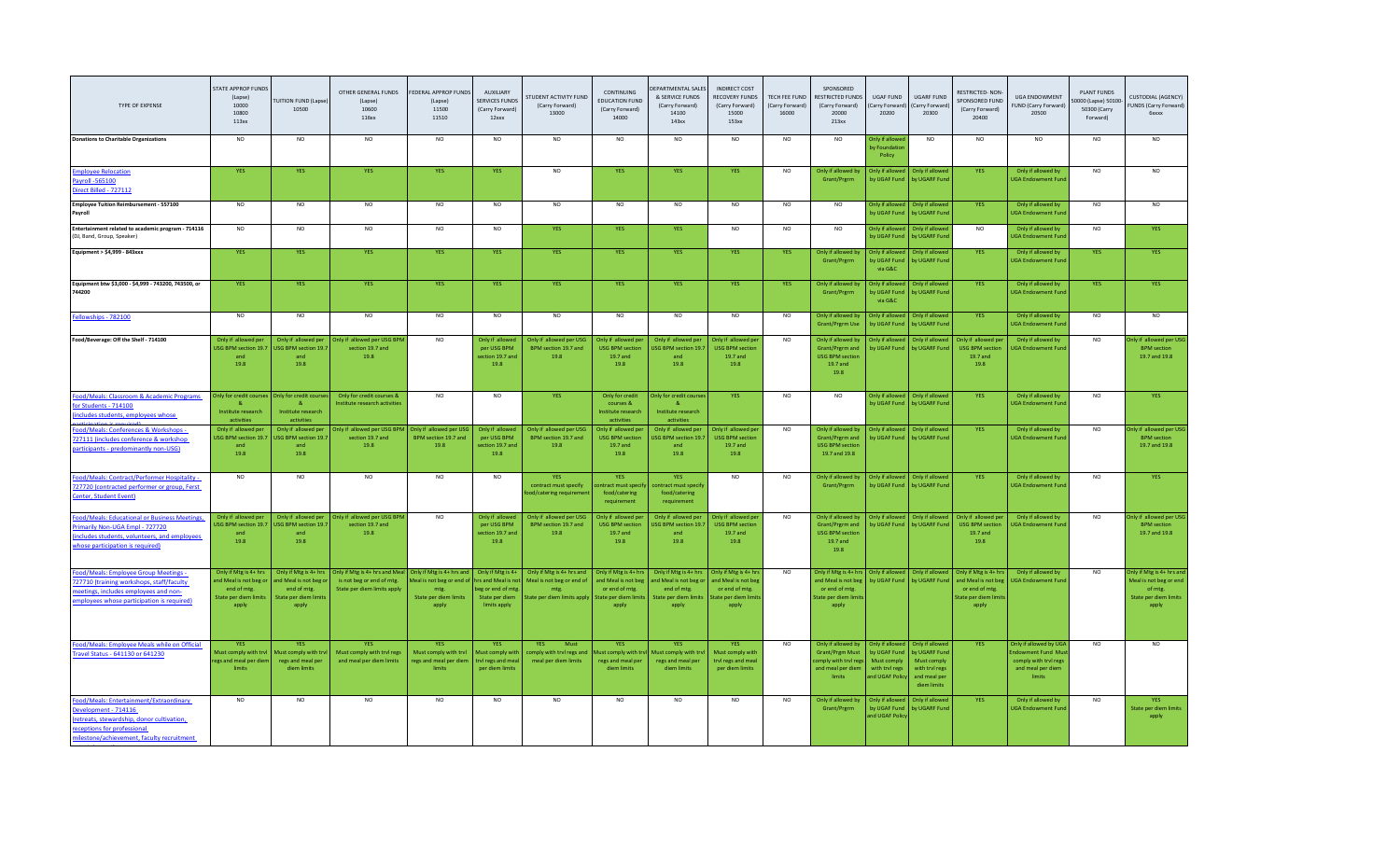| TYPE OF EXPENSE                                                                                                                                                                            | STATE APPROP FUNDS<br>(Lapse)<br>10000<br>10800<br>113xx                                        | <b>TUITION FUND (Lapse)</b><br>10500                                                           | OTHER GENERAL FUNDS<br>(Lapse)<br>10600<br>116xx                                           | FEDERAL APPROP FUNDS<br>(Lapse)<br>11500<br>11510                                                | AUXILIARY<br><b>SERVICES FUNDS</b><br>(Carry Forward)<br>12xxx                                | STUDENT ACTIVITY FUND<br>(Carry Forward)<br>13000                                             | CONTINUING<br><b>EDUCATION FUND</b><br>(Carry Forward)<br>14000                                 | <b>DEPARTMENTAL SALES</b><br>& SERVICE FUNDS<br>(Carry Forward)<br>14100<br>143xx              | INDIRECT COST<br>RECOVERY FUNDS<br>(Carry Forward)<br>15000<br>153xx                          | TECH FEE FUND<br>(Carry Forward)<br>16000 | SPONSORED<br>RESTRICTED FUNDS<br>(Carry Forward)<br>20000<br>213xx                                 | UGAF FUND<br>Carry Forward<br>20200                                                | UGARF FUND<br>Carry Forward)<br>20300                                                                   | RESTRICTED-NON<br>SPONSORED FUND<br>(Carry Forward)<br>20400                                  | <b>UGA ENDOWMENT</b><br>FUND (Carry Forward)<br>20500                                             | PLANT FUNDS<br>0000 (Lapse) 50100<br>50300 (Carry<br>Forward) | CUSTODIAL (AGENCY)<br>FUNDS (Carry Forward)<br><b>6xxxx</b>                                      |
|--------------------------------------------------------------------------------------------------------------------------------------------------------------------------------------------|-------------------------------------------------------------------------------------------------|------------------------------------------------------------------------------------------------|--------------------------------------------------------------------------------------------|--------------------------------------------------------------------------------------------------|-----------------------------------------------------------------------------------------------|-----------------------------------------------------------------------------------------------|-------------------------------------------------------------------------------------------------|------------------------------------------------------------------------------------------------|-----------------------------------------------------------------------------------------------|-------------------------------------------|----------------------------------------------------------------------------------------------------|------------------------------------------------------------------------------------|---------------------------------------------------------------------------------------------------------|-----------------------------------------------------------------------------------------------|---------------------------------------------------------------------------------------------------|---------------------------------------------------------------|--------------------------------------------------------------------------------------------------|
| <b>Donations to Charitable Organizations</b>                                                                                                                                               | <b>NO</b>                                                                                       | NO.                                                                                            | <b>NO</b>                                                                                  | <b>NO</b>                                                                                        | <b>NO</b>                                                                                     | NO.                                                                                           | <b>NO</b>                                                                                       | <b>NO</b>                                                                                      | <b>NO</b>                                                                                     | NO.                                       | <b>NO</b>                                                                                          | Only if allowe<br>by Foundation<br>Policy                                          | N <sub>O</sub>                                                                                          | NO                                                                                            | <b>NO</b>                                                                                         | <b>NO</b>                                                     |                                                                                                  |
| <b>Employee Relocation</b><br>Payroll -565100<br>Direct Billed - 727112                                                                                                                    | <b>YES</b>                                                                                      | <b>YES</b>                                                                                     | <b>YES</b>                                                                                 | <b>YES</b>                                                                                       | <b>YES</b>                                                                                    | NO.                                                                                           | <b>YES</b>                                                                                      | <b>YES</b>                                                                                     | YES                                                                                           | NO                                        | Only if allowed by<br>Grant/Prgrm                                                                  | Only if allowed                                                                    | Only if allowed<br>by UGAF Fund by UGARF Fund                                                           | <b>YES</b>                                                                                    | Only if allowed by<br><b>UGA Endowment Fund</b>                                                   | NO.                                                           | N <sub>O</sub>                                                                                   |
| <b>Employee Tuition Reimbursement - 557100</b><br>Payroll                                                                                                                                  | NO                                                                                              | <b>NO</b>                                                                                      | <b>NO</b>                                                                                  | <b>NO</b>                                                                                        | <b>NO</b>                                                                                     | N <sub>O</sub>                                                                                | <b>NO</b>                                                                                       | <b>NO</b>                                                                                      | <b>NO</b>                                                                                     | NO.                                       | <b>NO</b>                                                                                          | Only if allowed<br>hy LIGAF Fund                                                   | Only if allowed<br>by LIGARE Fun                                                                        | <b>YES</b>                                                                                    | Only if allowed by<br><b>UGA Endowment Fun</b>                                                    | N <sub>O</sub>                                                |                                                                                                  |
| Entertainment related to academic program - 714116<br>(DJ, Band, Group, Speaker)                                                                                                           | N <sub>O</sub>                                                                                  | NO                                                                                             | <b>NO</b>                                                                                  | NO.                                                                                              | <b>NO</b>                                                                                     | <b>YES</b>                                                                                    | <b>YES</b>                                                                                      | YES.                                                                                           | <b>NO</b>                                                                                     | <b>NO</b>                                 | <b>NO</b>                                                                                          | Only if allowed<br>by UGAF Fund                                                    | Only if allowed<br>by UGARF Fund                                                                        | <b>NO</b>                                                                                     | Only if allowed by<br><b>GA Endowment Fun</b>                                                     | <b>NO</b>                                                     | <b>YES</b>                                                                                       |
| Equipment > \$4,999 - 843xxx                                                                                                                                                               | <b>YES</b>                                                                                      | <b>YES</b>                                                                                     | <b>YES</b>                                                                                 | <b>YES</b>                                                                                       | <b>YES</b>                                                                                    | <b>YES</b>                                                                                    | <b>YES</b>                                                                                      | <b>YES</b>                                                                                     | <b>YES</b>                                                                                    | <b>YES</b>                                | Only if allowed by<br>Grant/Prgrm                                                                  | Only if allowed<br>by UGAF Fund<br>via G&C                                         | Only if allowed<br>by UGARF Fund                                                                        | <b>YES</b>                                                                                    | Only if allowed by<br><b>UGA Endowment Fund</b>                                                   | <b>YES</b>                                                    | <b>YES</b>                                                                                       |
| Equipment btw \$3,000 - \$4,999 - 743200, 743500, or<br>744200                                                                                                                             | YES                                                                                             | <b>YES</b>                                                                                     | YES                                                                                        | <b>YES</b>                                                                                       | <b>YES</b>                                                                                    | <b>YES</b>                                                                                    | <b>YES</b>                                                                                      | YES.                                                                                           | YES                                                                                           | <b>YES</b>                                | Only if allowed by<br>Grant/Prgrm                                                                  | <b>Only if allowed</b><br>by UGAF Fund<br>via G&C                                  | Only if allowed<br>by UGARF Fund                                                                        | <b>YES</b>                                                                                    | Only if allowed by<br><b>UGA Endowment Fund</b>                                                   | YES                                                           |                                                                                                  |
| Fellowships - 782100                                                                                                                                                                       | NO                                                                                              | $_{\sf NO}$                                                                                    | <b>NO</b>                                                                                  | <b>NO</b>                                                                                        | <b>NO</b>                                                                                     | NO.                                                                                           | <b>NO</b>                                                                                       | NO.                                                                                            | NO.                                                                                           | <b>NO</b>                                 | Only if allowed by<br><b>Grant/Prgrm Use</b>                                                       | Only if allowed<br>by UGAF Fund                                                    | Only if allowed<br>by UGARF Fund                                                                        | <b>YES</b>                                                                                    | Only if allowed by<br><b>UGA Endowment Fund</b>                                                   | <b>NO</b>                                                     | NO.                                                                                              |
| Food/Beverage: Off the Shelf - 714100                                                                                                                                                      | Only if allowed per<br><b>ISG BPM section 19.7</b><br>and<br>19.8                               | Only if allowed per<br><b>USG BPM section 19.7</b><br>and<br>19.8                              | Only if allowed per USG BP<br>section 19.7 and<br>19.8                                     | NO.                                                                                              | Only if allowed<br>per USG BPM<br>section 19.7 and<br>19.8                                    | Only if allowed per USG<br>BPM section 19.7 and<br>19.8                                       | Only if allowed pe<br><b>USG BPM section</b><br>19.7 and<br>19.8                                | Only if allowed per<br>ISG BPM section 19.<br>and<br>19.8                                      | Only if allowed pe<br><b>USG BPM section</b><br>19.7 and<br>19.8                              | <b>NO</b>                                 | Only if allowed by<br>Grant/Prgrm and<br><b>USG BPM section</b><br>19.7 and<br>19.8                | Only if allowed<br>by UGAF Fund                                                    | Only if allowed<br>by UGARF Fund                                                                        | Only if allowed pe<br><b>USG BPM section</b><br>19.7 and<br>19.8                              | Only if allowed by<br><b>GA Endowment Fund</b>                                                    | <b>NO</b>                                                     | ly if allowed per US<br><b>BPM</b> section<br>19.7 and 19.8                                      |
| Food/Meals: Classroom & Academic Programs<br>for Students - 714100<br>includes students, employees whose                                                                                   | Only for credit course<br>8 <sub>k</sub><br>Institute research<br>activities                    | Only for credit cours<br>$\alpha$<br>Institute research<br>activities                          | Only for credit courses &<br>Institute research activities                                 | <b>NO</b>                                                                                        | <b>NO</b>                                                                                     | <b>YES</b>                                                                                    | Only for credit<br>courses &<br>Institute research<br>activities                                | nly for credit course<br>$\alpha$<br>Institute research<br>activities                          | <b>YES</b>                                                                                    | N <sub>O</sub>                            | <b>NO</b>                                                                                          | Only if allowed<br>by UGAF Fund                                                    | Only if allowed<br>by UGARF Fund                                                                        | <b>YES</b>                                                                                    | Only if allowed by<br><b>UGA Endowment Fun</b>                                                    | <b>NO</b>                                                     | <b>YES</b>                                                                                       |
| od/Meals: Conferences & Workshops -<br>727111 (includes conference & workshop<br>participants - predominantly non-USG)                                                                     | Only if allowed per<br>JSG BPM section 19.7<br>and<br>19.8                                      | Only if allowed per<br>USG BPM section 19.<br>and<br>19.8                                      | Only if allowed per USG BPN<br>section 19.7 and<br>19.8                                    | Only if allowed per USG<br>BPM section 19.7 and<br>19.8                                          | Only if allowed<br>per USG BPM<br>section 19.7 and<br>19.8                                    | Only if allowed per USG<br>BPM section 19.7 and<br>19.8                                       | Only if allowed ne<br><b>USG BPM section</b><br>19.7 and<br>19.8                                | Only if allowed net<br>ISG BPM section 19.<br>and<br>19.8                                      | Only if allowed pe<br><b>USG BPM section</b><br>19.7 and<br>19.8                              | <b>NO</b>                                 | Only if allowed by<br>Grant/Prgrm and<br><b>USG BPM section</b><br>19.7 and 19.8                   | Only if allowed<br>by UGAF Fund                                                    | Only if allowed<br>by UGARF Fund                                                                        | <b>YFS</b>                                                                                    | Only if allowed by<br><b>UGA Endowment Fun</b>                                                    | <b>NO</b>                                                     | alv if allowed per US<br><b>BPM</b> section<br>19.7 and 19.8                                     |
| -ood/Meals: Contract/Performer Hospitality -<br>727720 (contracted performer or group, Ferst<br>Center, Student Event)                                                                     | <b>NO</b>                                                                                       | <b>NO</b>                                                                                      | NO                                                                                         | NO.                                                                                              | <b>NO</b>                                                                                     | <b>YFS</b><br>contract must specify<br>od/catering requiren                                   | <b>YFS</b><br><b>Intract must specify</b><br>food/catering<br>requirement                       | <b>YES</b><br>ontract must specif<br>food/catering<br>requirement                              | <b>NO</b>                                                                                     | N <sub>O</sub>                            | Only if allowed by<br>Grant/Prgrm                                                                  | Only if allowed                                                                    | Only if allowed<br>by UGAF Fund by UGARF Fund                                                           | <b>YFS</b>                                                                                    | Only if allowed by<br><b>UGA Endowment Fund</b>                                                   | NO.                                                           | <b>YES</b>                                                                                       |
| Food/Meals: Educational or Business Meetings,<br>rimarily Non-UGA Empl - 727720<br>(includes students, volunteers, and employees<br>whose participation is required)                       | Only if allowed per<br>JSG BPM section 19.7<br>and<br>19.8                                      | Only if allowed per<br>USG BPM section 19.7<br>and<br>19.8                                     | Only if allowed per USG BPM<br>section 19.7 and<br>19.8                                    | N <sub>O</sub>                                                                                   | Only if allowed<br>per USG BPM<br>section 19.7 and<br>19.8                                    | Only if allowed per USG<br>BPM section 19.7 and<br>19.8                                       | Only if allowed per<br><b>USG BPM section</b><br>19.7 and<br>19.8                               | Only if allowed per<br>ISG BPM section 19.<br>and<br>19.8                                      | Only if allowed per<br><b>USG BPM section</b><br>19.7 and<br>19.8                             | NO                                        | Only if allowed by<br>Grant/Prgrm and<br><b>USG BPM section</b><br>19.7 and<br>19.8                | Only if allowed<br>by UGAF Fund                                                    | Only if allowed<br>by UGARF Fund                                                                        | Only if allowed per<br><b>USG BPM section</b><br>19.7 and<br>19.8                             | Only if allowed by<br><b>GA Endowment Fun</b>                                                     | <b>NO</b>                                                     | nly if allowed per USG<br><b>RPM</b> section<br>19.7 and 19.8                                    |
| Food/Meals: Employee Group Meetings -<br>727710 (training workshops, staff/faculty<br>neetings, includes employees and non-<br>employees whose participation is required)                  | Only if Mtg is 4+ hrs<br>nd Meal is not beg of<br>end of mtg.<br>State per diem limits<br>apply | Only if Mtg is 4+ hrs<br>and Meal is not beg o<br>end of mtg.<br>State per diem limit<br>apply | Only if Mtg is 4+ hrs and Meal<br>is not beg or end of mtg.<br>State per diem limits apply | Only if Mtg is 4+ hrs and<br>Meal is not beg or end of<br>mtg.<br>State per diem limits<br>apply | Only if Mtg is 4+<br>hrs and Meal is no<br>eg or end of mtg<br>State per diem<br>limits apply | Only if Mtg is 4+ hrs and<br>Meal is not beg or end of<br>mtg.<br>State per diem limits apply | Only if Mtg is 4+ hrs<br>and Meal is not beg<br>or end of mtg.<br>tate per diem limit:<br>apply | Only if Mtg is 4+ hr:<br>nd Meal is not beg o<br>end of mtg.<br>State per diem limit:<br>apply | Only if Mtg is 4+ hr<br>and Meal is not bee<br>or end of mtg.<br>tate per diem limit<br>apply | NO.                                       | Only if Mtg is 4+ hrs<br>and Meal is not bee<br>or end of mtg.<br>tate per diem lim<br>apply       | Only if allowed<br>by UGAF Fund                                                    | Only if allowed<br>by UGARF Fund                                                                        | Only if Mtg is 4+ hrs<br>and Meal is not bee<br>or end of mtg.<br>tate per diem limi<br>apply | Only if allowed by<br><b>UGA Endowment Fun</b>                                                    | NO                                                            | Inly if Mtg is 4+ hrs and<br>Meal is not beg or end<br>of mtg.<br>State per diem limits<br>apply |
| Food/Meals: Employee Meals while on Official<br>Fravel Status - 641130 or 641230                                                                                                           | <b>YES</b><br>Must comply with try<br>egs and meal per die<br>limits                            | <b>YES</b><br>Must comply with try<br>regs and meal per<br>diem limits                         | <b>YES</b><br>Must comply with tryl regs<br>and meal per diem limits                       | <b>YFS</b><br>Must comply with tryl<br>regs and meal per diem<br>limits                          | <b>YES</b><br><b>Aust comply with</b><br>rvl regs and mea<br>per diem limit:                  | Must<br>YES.<br>comply with tryl regs and<br>meal per diem limits                             | <b>YES</b><br>lust comply with try<br>regs and meal per<br>diem limits                          | <b>YES</b><br><b>Aust comply with tr</b><br>regs and meal per<br>diem limits                   | <b>YES</b><br>Must comply with<br>trvl regs and meal<br>per diem limits                       | NO.                                       | Only if allowed by<br><b>Grant/Prgm Must</b><br>omply with tryl reg<br>and meal per diem<br>limits | Only if allowed<br>by UGAF Fund<br>Must comply<br>with tryl regs<br>and UGAF Polic | Only if allowed<br><b>by UGARF Fund</b><br>Must comply<br>with tryl regs<br>and meal per<br>diem limits | <b>YES</b>                                                                                    | Only if allowed by UGA<br>dowment Fund Mu<br>comply with trvl regs<br>and meal per diem<br>limits | <b>NO</b>                                                     |                                                                                                  |
| Food/Meals: Entertainment/Extraordinary<br>Development - 714116<br>(retreats, stewardship, donor cultivation,<br>receptions for professional<br>milestone/achievement, faculty recruitment | N <sub>O</sub>                                                                                  | N <sub>O</sub>                                                                                 | NO                                                                                         | N <sub>O</sub>                                                                                   | <b>NO</b>                                                                                     | N <sub>O</sub>                                                                                | <b>NO</b>                                                                                       | NO.                                                                                            | NO                                                                                            | N <sub>O</sub>                            | Only if allowed by<br>Grant/Prgrm                                                                  | Only if allowed<br>by UGAF Fund<br>and UGAF Polic                                  | Only if allowed<br>by UGARF Fund                                                                        | <b>YES</b>                                                                                    | Only if allowed by<br><b>UGA Endowment Fun</b>                                                    | NO                                                            | <b>YFS</b><br>State per diem limits<br>apply                                                     |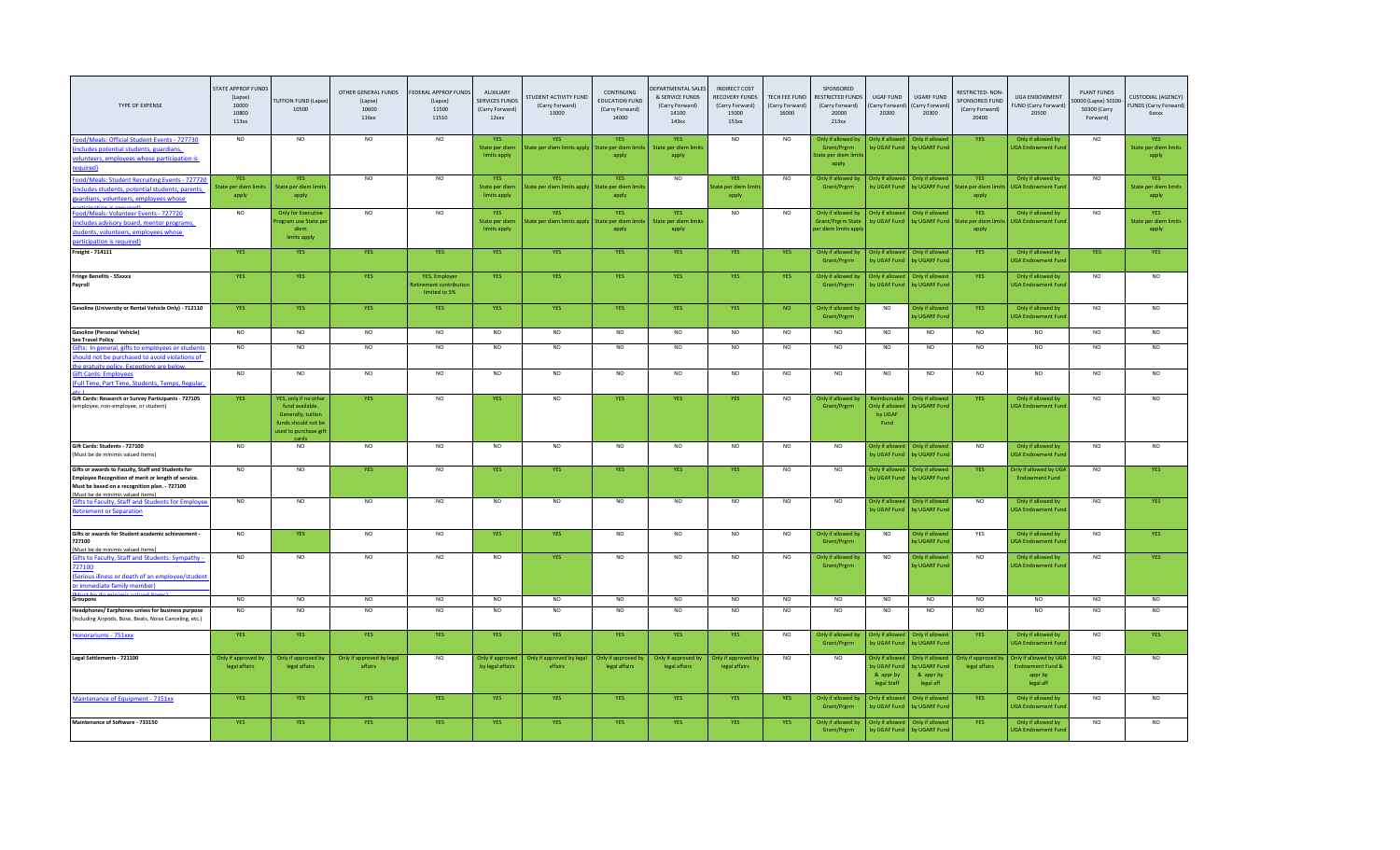| <b>TYPE OF EXPENSE</b>                                                                                                                                                                          | STATE APPROP FUNDS<br>(Lapse)<br>10000<br>10800<br>113xx | <b>TUITION FUND (Lapse</b><br>10500                                                                                 | OTHER GENERAL FUNDS<br>(Lapse)<br>10600<br>116xx | FEDERAL APPROP FUNDS<br>(Lapse)<br>11500<br>11510      | AUXILIARY<br><b>SERVICES FUND</b><br>(Carry Forward)<br>12xxx | <b>STUDENT ACTIVITY FUND</b><br>(Carry Forward)<br>13000 | CONTINUING<br><b>EDUCATION FUND</b><br>(Carry Forward)<br>14000 | EPARTMENTAL SALES<br>& SERVICE FUNDS<br>(Carry Forward)<br>14100<br>143xx | <b>INDIRECT COST</b><br>RECOVERY FUNDS<br>(Carry Forward)<br>15000<br>153xx | TECH FEE FUND<br>(Carry Forward)<br>16000 | SPONSORED<br>RESTRICTED FUNDS<br>(Carry Forward)<br>20000<br>213xx   | <b>UGAF FUND</b><br>Carry Forward<br>20200                 | <b>UGARF FUND</b><br>Carry Forward)<br>20300               | RESTRICTED-NON-<br><b>SPONSORED FUND</b><br>(Carry Forward)<br>20400 | UGA ENDOWMENT<br><b>FUND (Carry Forward)</b><br>20500                         | <b>PLANT FUNDS</b><br>0000 (Lapse) 50100<br>50300 (Carry<br>Forward) | <b>CUSTODIAL (AGENCY)</b><br>FUNDS (Carry Forward)<br><b>G</b> xxxx |
|-------------------------------------------------------------------------------------------------------------------------------------------------------------------------------------------------|----------------------------------------------------------|---------------------------------------------------------------------------------------------------------------------|--------------------------------------------------|--------------------------------------------------------|---------------------------------------------------------------|----------------------------------------------------------|-----------------------------------------------------------------|---------------------------------------------------------------------------|-----------------------------------------------------------------------------|-------------------------------------------|----------------------------------------------------------------------|------------------------------------------------------------|------------------------------------------------------------|----------------------------------------------------------------------|-------------------------------------------------------------------------------|----------------------------------------------------------------------|---------------------------------------------------------------------|
| Food/Meals: Official Student Events - 727730<br>ncludes potential students, guardians,<br>volunteers, employees whose participation is<br>quired)                                               | <b>NO</b>                                                | <b>NO</b>                                                                                                           | <b>NO</b>                                        | <b>NO</b>                                              | <b>YES</b><br>State per diem<br>limits apply                  | <b>YES</b><br>itate per diem limits apply                | <b>YES</b><br>State per diem limits<br>apply                    | <b>YES</b><br>State per diem limits<br>apply                              | <b>NO</b>                                                                   | NO.                                       | Only if allowed by<br>Grant/Prgrm<br>tate per diem lim<br>apply      | Only if allowe<br>by UGAF Fund                             | Only if allowe<br>by UGARF Fund                            | <b>YES</b>                                                           | Only if allowed by<br><b>JGA Endowment Fund</b>                               | <b>NO</b>                                                            | <b>YES</b><br>State per diem limits<br>apply                        |
| Food/Meals: Student Recruiting Events - 727720<br>includes students, potential students, parents,<br>uardians, volunteers, employees whose<br>irticination is required                          | YES<br>State per diem limits<br>apply                    | <b>YES</b><br><b>State per diem limits</b><br>apply                                                                 | N <sub>O</sub>                                   | N <sub>O</sub>                                         | <b>YES</b><br>State ner diem<br>limits apply                  | <b>YES</b><br>itate per diem limits apply                | YES<br>State per diem limit<br>apply                            | NO                                                                        | <b>YES</b><br>tate per diem limit<br>apply                                  | N <sub>O</sub>                            | Only if allowed by<br>Grant/Prgrm                                    | <b>Only if allowed</b>                                     | Only if allowed                                            | <b>YES</b><br>by UGAF Fund by UGARF Fund State per diem lir<br>apply | Only if allowed by<br><b>IGA Endowment Fun</b>                                | N <sub>O</sub>                                                       | <b>YES</b><br><b>State per diem limits</b><br>apply                 |
| Food/Meals: Volunteer Events - 727720<br>ncludes advisory board, mentor programs<br>tudents, volunteers, employees whose<br>articipation is required)                                           | N <sub>O</sub>                                           | <b>Only for Executive</b><br>ogram use State pe<br>diem<br>limits apply                                             | N <sub>O</sub>                                   | N <sub>O</sub>                                         | <b>YES</b><br>State per diem<br>limits apply                  | <b>YES</b><br>tate per diem limits apply                 | <b>YES</b><br>tate per diem<br>apply                            | YES<br>State per diem limits<br>apply                                     | N <sub>O</sub>                                                              | N <sub>O</sub>                            | Only if allowed by<br><b>Grant/Prgrm State</b><br>er diem limits api | Only if allowed<br>by UGAF Fund                            | Only if allowed<br>by UGARF Fund                           | YES<br>State per diem<br>apply                                       | Only if allowed by<br><b>JGA Endowment Fun</b>                                | N <sub>O</sub>                                                       | <b>YES</b><br>State per diem limits<br>apply                        |
| Freight - 714111                                                                                                                                                                                | YES                                                      | <b>YES</b>                                                                                                          | <b>YES</b>                                       | <b>YES</b>                                             | YES                                                           | YES                                                      | YES                                                             | YES                                                                       | <b>YES</b>                                                                  | YES                                       | Only if allowed by<br>Grant/Prgrm                                    | Only if allowed<br>by UGAF Fund                            | Only if allowed<br>by UGARF Fund                           | <b>YES</b>                                                           | Only if allowed by<br>JGA Endowment Fun                                       | <b>YES</b>                                                           | <b>YES</b>                                                          |
| <b>Fringe Benefits - 55xxxx</b><br>Payroll                                                                                                                                                      | YES                                                      | YES                                                                                                                 | YES                                              | YES, Employer<br>tirement contributio<br>limited to 5% | <b>YES</b>                                                    | <b>YES</b>                                               | YES                                                             | YES                                                                       | YES                                                                         | YES                                       | Only if allowed by<br>Grant/Prgrm                                    | <b>Only if allowed</b><br>by UGAF Fund                     | Only if allowed<br>by UGARF Fund                           | YES                                                                  | Only if allowed by<br><b>UGA Endowment Fund</b>                               | <b>NO</b>                                                            | NO                                                                  |
| Gasoline (University or Rental Vehicle Only) - 712110                                                                                                                                           | YES                                                      | <b>YES</b>                                                                                                          | <b>YES</b>                                       | YES                                                    | YES                                                           | YES                                                      | <b>YES</b>                                                      | YES                                                                       | <b>YES</b>                                                                  | NO                                        | Only if allowed by<br>Grant/Prgrm                                    | <b>NO</b>                                                  | Only if allowed<br>by UGARF Fund                           | <b>YES</b>                                                           | Only if allowed by<br><b>JGA Endowment Fun</b>                                | <b>NO</b>                                                            |                                                                     |
| <b>Gasoline (Personal Vehicle)</b><br><b>See Travel Policy</b>                                                                                                                                  | <b>NO</b>                                                | $_{\sf NO}$                                                                                                         | NO                                               | <b>NO</b>                                              | <b>NO</b>                                                     | N <sub>O</sub>                                           | <b>NO</b>                                                       | NO                                                                        | <b>NO</b>                                                                   | <b>NO</b>                                 | N <sub>O</sub>                                                       | N <sub>O</sub>                                             | <b>NO</b>                                                  | <b>NO</b>                                                            | N <sub>O</sub>                                                                | NO.                                                                  |                                                                     |
| lifts: In general, gifts to employees or students<br>hould not be purchased to avoid violations of<br>the arstuity nolicy. Eveer                                                                | N <sub>O</sub>                                           | NO                                                                                                                  | N <sub>O</sub>                                   | N <sub>O</sub>                                         | N <sub>O</sub>                                                | N <sub>O</sub>                                           | NO                                                              | N <sub>O</sub>                                                            | N <sub>O</sub>                                                              | NQ                                        | N <sub>O</sub>                                                       | N <sub>O</sub>                                             | <b>NO</b>                                                  | N <sub>O</sub>                                                       | NO                                                                            | NO                                                                   | N <sub>O</sub>                                                      |
| <b>Sift Cards: Employees</b><br>Full Time, Part Time, Students, Temps, Regular,                                                                                                                 | N <sub>O</sub>                                           | N <sub>O</sub>                                                                                                      | N <sub>O</sub>                                   | N <sub>O</sub>                                         | N <sub>O</sub>                                                | NO                                                       | NO                                                              | N <sub>O</sub>                                                            | N <sub>O</sub>                                                              | N <sub>O</sub>                            | N <sub>O</sub>                                                       | N <sub>O</sub>                                             | NO                                                         | N <sub>O</sub>                                                       | NO                                                                            | N <sub>O</sub>                                                       | N <sub>O</sub>                                                      |
| Gift Cards: Research or Survey Participants - 727105<br>(employee, non-employee, or student)                                                                                                    | <b>YES</b>                                               | YES, only if no oth<br>fund available<br>Generally, tuition<br>funds should not be<br>used to purchase gift<br>card | <b>YES</b>                                       | N <sub>O</sub>                                         | <b>YFS</b>                                                    | N <sub>O</sub>                                           | <b>YES</b>                                                      | YES.                                                                      | <b>YES</b>                                                                  | <b>NO</b>                                 | Only if allowed I<br>Grant/Prgrm                                     | Only if allow<br>by UGAF<br>Fund                           | Only if allowe<br><b>OV UGARF Fund</b>                     | <b>YES</b>                                                           | Only if allowed by<br><b>UGA Endowment Fun</b>                                | NO.                                                                  |                                                                     |
| Gift Cards: Students - 727100<br>(Must be de minimis valued items)                                                                                                                              | N <sub>O</sub>                                           | $_{\sf NO}$                                                                                                         | N <sub>O</sub>                                   | N <sub>O</sub>                                         | N <sub>O</sub>                                                | <b>NO</b>                                                | NO                                                              | N <sub>O</sub>                                                            | N <sub>O</sub>                                                              | NQ                                        | N <sub>O</sub>                                                       | Only if allowed<br>by UGAF Fund                            | Only if allowed<br>by UGARF Fund                           | N <sub>O</sub>                                                       | Only if allowed by<br><b>UGA Endowment Fun</b>                                | N <sub>O</sub>                                                       | N <sub>O</sub>                                                      |
| Gifts or awards to Faculty, Staff and Students for<br>Employee Recognition of merit or length of service.<br>Must be based on a recognition plan. - 727100<br>(Must be de minimis valued items) | NO                                                       | $_{\sf NO}$                                                                                                         | YES                                              | <b>NO</b>                                              | <b>YES</b>                                                    | YES                                                      | <b>YES</b>                                                      | YES                                                                       | YES                                                                         | <b>NO</b>                                 | NO.                                                                  | Only if allowe<br>by UGAF Fun                              | Only if allowed<br>by UGARF Fun                            | <b>YES</b>                                                           | Only if allowed by UGA<br><b>Endowment Fund</b>                               | <b>NO</b>                                                            | <b>YES</b>                                                          |
| <b>Sifts to Faculty, Staff and Students for Employ</b><br>Retirement or Separation                                                                                                              | NO                                                       | NO                                                                                                                  | NO                                               | <b>NO</b>                                              | <b>NO</b>                                                     | <b>NO</b>                                                | <b>NO</b>                                                       | <b>NO</b>                                                                 | NO                                                                          | <b>NO</b>                                 | NO.                                                                  | Only if allowed<br>by UGAF Fund                            | Only if allowe<br>by UGARF Fund                            | NO.                                                                  | Only if allowed by<br><b>JGA Endowment Fun</b>                                | <b>NO</b>                                                            | <b>YFS</b>                                                          |
| Gifts or awards for Student academic achievement -<br>727100<br>(Must be de minimis valued items)                                                                                               | <b>NO</b>                                                | <b>YES</b>                                                                                                          | <b>NO</b>                                        | NO.                                                    | YES                                                           | <b>YES</b>                                               | <b>NO</b>                                                       | NO                                                                        | <b>NO</b>                                                                   | <b>NO</b>                                 | Only if allowed b<br>Grant/Prerm                                     | NO.                                                        | Only if allowed<br>by UGARF Fund                           | YES                                                                  | Only if allowed by<br><b>JGA Endowment Fun</b>                                | <b>NO</b>                                                            | <b>YFS</b>                                                          |
| Sifts to Faculty, Staff and Students: Sympathy<br>727100<br>Serious illness or death of an employee/student<br>or immediate family member)                                                      | N <sub>O</sub>                                           | N <sub>O</sub>                                                                                                      | N <sub>O</sub>                                   | N <sub>O</sub>                                         | NO.                                                           | YES                                                      | N <sub>O</sub>                                                  | N <sub>O</sub>                                                            | N <sub>O</sub>                                                              | NO                                        | Only if allowed by<br>Grant/Prgrm                                    | N <sub>O</sub>                                             | Only if allowed<br>by UGARF Fund                           | N <sub>O</sub>                                                       | Only if allowed by<br><b>JGA Endowment Fund</b>                               | NO.                                                                  |                                                                     |
| Groupons                                                                                                                                                                                        | N <sub>O</sub>                                           | NO                                                                                                                  | N <sub>O</sub>                                   | N <sub>O</sub>                                         | N <sub>O</sub>                                                | <b>NO</b>                                                | NO                                                              | N <sub>O</sub>                                                            | N <sub>O</sub>                                                              | NQ                                        | NO.                                                                  | N <sub>O</sub>                                             | N <sub>O</sub>                                             | N <sub>O</sub>                                                       | <b>NO</b>                                                                     | <b>NO</b>                                                            | NO.                                                                 |
| Headphones/Earphones-unless for business purpose<br>(Including Airpods, Bose, Beats, Noise Canceling, etc.)                                                                                     | N <sub>O</sub>                                           | N <sub>O</sub>                                                                                                      | <b>NO</b>                                        | NO.                                                    | <b>NO</b>                                                     | NO <sub>1</sub>                                          | NO.                                                             | <b>NO</b>                                                                 | <b>NO</b>                                                                   | <b>NO</b>                                 | N <sub>O</sub>                                                       | NO.                                                        | NO.                                                        | NO.                                                                  | NO.                                                                           | <b>NO</b>                                                            | N <sub>O</sub>                                                      |
| Honorariums - 751xxx                                                                                                                                                                            | YES                                                      | <b>YES</b>                                                                                                          | <b>YES</b>                                       | <b>YES</b>                                             | <b>YES</b>                                                    | <b>YES</b>                                               | <b>YES</b>                                                      | <b>YES</b>                                                                | <b>YES</b>                                                                  | <b>NO</b>                                 | Only if allowed by<br>Grant/Prgrm                                    | Only if allowe<br>y UGAF Fun                               | Only if allowed<br>y UGARF Fund                            | <b>YES</b>                                                           | Only if allowed by<br><b>JGA Endowment Fun</b>                                | <b>NO</b>                                                            | <b>YES</b>                                                          |
| Legal Settlements - 721100                                                                                                                                                                      | Only if approved by<br>legal affairs                     | Only if approved by<br>legal affairs                                                                                | Only if approved by legal<br>affairs             | <b>NO</b>                                              | Only if approved<br>by legal affairs                          | Only if approved by legal<br>affairs                     | Only if approved I<br>legal affairs                             | Only if approved by<br>legal affairs                                      | Inly if approved by<br>legal affairs                                        | <b>NO</b>                                 | NO.                                                                  | Only if allowe<br>by UGAF Fund<br>& appr by<br>legal Staff | Only if allowed<br>by UGARF Fund<br>& appr by<br>legal aff | Only if approved b<br>legal affairs                                  | Only if allowed by UG.<br><b>Endowment Fund &amp;</b><br>appr by<br>legal aff | NO.                                                                  | NO                                                                  |
| Maintenance of Equipment - 7151xx                                                                                                                                                               | YES                                                      | YES                                                                                                                 | YES                                              | <b>YES</b>                                             | YES                                                           | YES                                                      | YES                                                             | YES                                                                       | YES                                                                         | YES                                       | Only if allowed by<br>Grant/Prgrm                                    | Only if allowed<br>by UGAF Fund                            | Only if allowed<br>by UGARF Fund                           | <b>YES</b>                                                           | Only if allowed by<br><b>JGA Endowment Fund</b>                               | <b>NO</b>                                                            | N <sub>O</sub>                                                      |
| Maintenance of Software - 733150                                                                                                                                                                | YES                                                      | <b>YES</b>                                                                                                          | <b>YES</b>                                       | <b>YES</b>                                             | <b>YES</b>                                                    | <b>YES</b>                                               | YES                                                             | <b>YES</b>                                                                | <b>YES</b>                                                                  | <b>YES</b>                                | Only if allowed by<br>Grant/Prgrm                                    | Only if allowed<br>by UGAF Fund                            | Only if allowed<br>by UGARF Fund                           | <b>YES</b>                                                           | Only if allowed by<br><b>UGA Endowment Fund</b>                               | <b>NO</b>                                                            | NO                                                                  |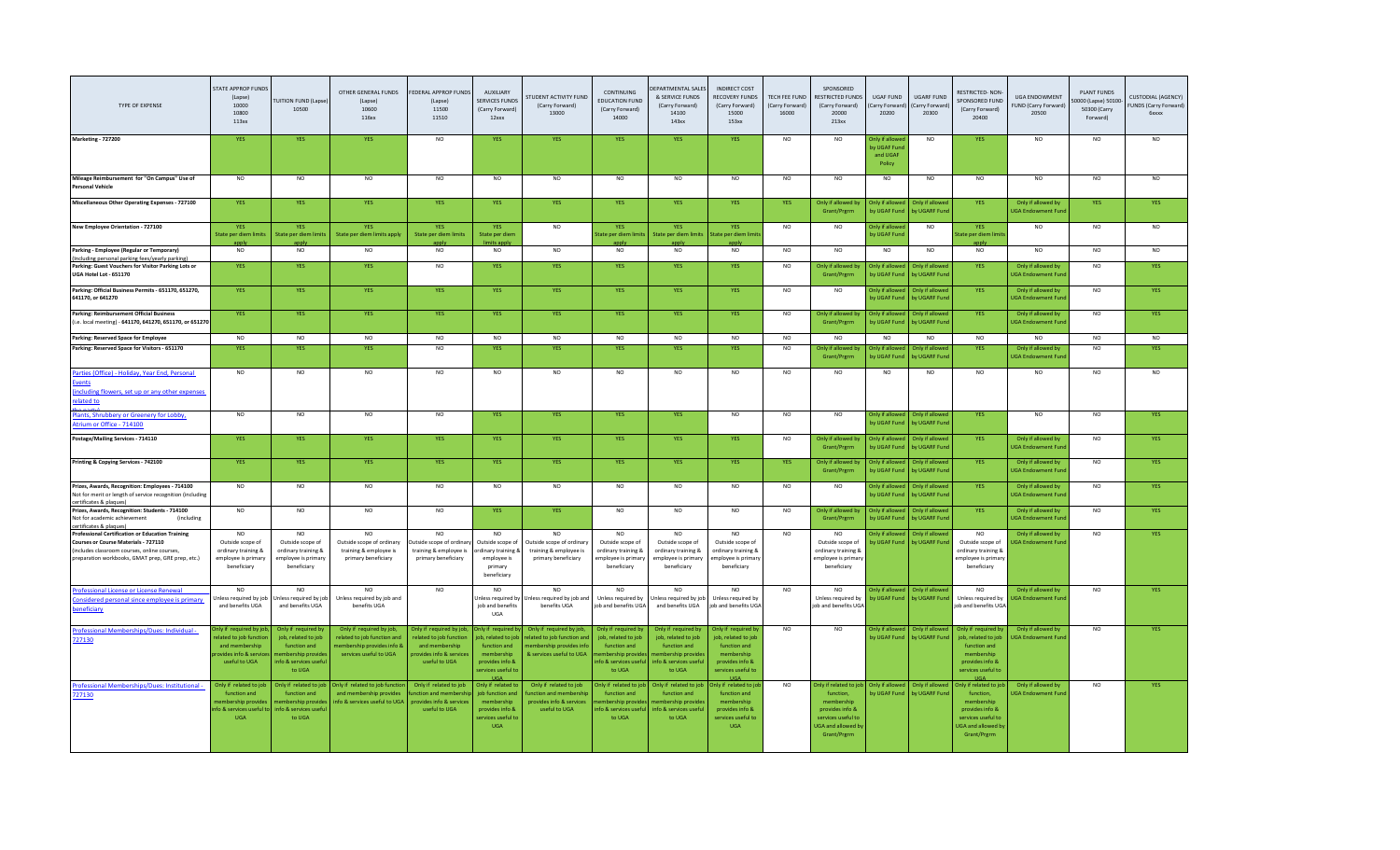| <b>TYPE OF EXPENSE</b>                                                                                                                                                                               | STATE APPROP FUNDS<br>(Lapse)<br>10000<br>10800<br>113xx                                                   | <b>TUITION FUND (Lapse</b><br>10500                                                                               | OTHER GENERAL FUNDS<br>(Lapse)<br>10600<br>116xx                                                                | FEDERAL APPROP FUNDS<br>(Lapse)<br>11500<br>11510                                                                | <b>AUXILIARY</b><br><b>SERVICES FUND</b><br>(Carry Forward)<br>12xxx                                                          | <b>STUDENT ACTIVITY FUND</b><br>(Carry Forward)<br>13000                                                      | CONTINUING<br><b>EDUCATION FUND</b><br>(Carry Forward)<br>14000                                             | <b>FPARTMENTAL SALES</b><br>& SERVICE FUNDS<br>(Carry Forward)<br>14100<br>143xx                                   | INDIRECT COST<br>RECOVERY FUNDS<br>(Carry Forward)<br>15000<br>153xx                                              | TECH FEE FUND<br>(Carry Forward)<br>16000 | SPONSORED<br>RESTRICTED FUNDS<br>(Carry Forward)<br>20000<br>213xx                                                                    | <b>UGAF FUND</b><br>Carry Forward<br>20200         | <b>UGARF FUND</b><br>Carry Forward)<br>20300 | RESTRICTED-NON-<br>SPONSORED FUND<br>(Carry Forward)<br>20400                                                                          | <b>UGA ENDOWMENT</b><br><b>FUND (Carry Forward)</b><br>20500 | <b>PLANT FUNDS</b><br>0000 (Lapse) 50100<br>50300 (Carry<br>Forward) | <b>CUSTODIAL (AGENCY)</b><br>FUNDS (Carry Forward)<br><b><i><u>Gxxxx</u></i></b> |
|------------------------------------------------------------------------------------------------------------------------------------------------------------------------------------------------------|------------------------------------------------------------------------------------------------------------|-------------------------------------------------------------------------------------------------------------------|-----------------------------------------------------------------------------------------------------------------|------------------------------------------------------------------------------------------------------------------|-------------------------------------------------------------------------------------------------------------------------------|---------------------------------------------------------------------------------------------------------------|-------------------------------------------------------------------------------------------------------------|--------------------------------------------------------------------------------------------------------------------|-------------------------------------------------------------------------------------------------------------------|-------------------------------------------|---------------------------------------------------------------------------------------------------------------------------------------|----------------------------------------------------|----------------------------------------------|----------------------------------------------------------------------------------------------------------------------------------------|--------------------------------------------------------------|----------------------------------------------------------------------|----------------------------------------------------------------------------------|
| <b>Marketing - 727200</b>                                                                                                                                                                            | YES                                                                                                        | <b>YES</b>                                                                                                        | <b>YES</b>                                                                                                      | NO.                                                                                                              | <b>YES</b>                                                                                                                    | <b>YES</b>                                                                                                    | <b>YES</b>                                                                                                  | <b>YES</b>                                                                                                         | <b>YES</b>                                                                                                        | NO.                                       | NO.                                                                                                                                   | Only if allow<br>by UGAF Fun<br>and UGAF<br>Policy | N <sub>O</sub>                               | YES.                                                                                                                                   | N <sub>O</sub>                                               | <b>NO</b>                                                            |                                                                                  |
| Mileage Reimbursement for "On Campus" Use of<br><b>Personal Vehicle</b>                                                                                                                              | N <sub>O</sub>                                                                                             | N <sub>O</sub>                                                                                                    | NO                                                                                                              | NO                                                                                                               | <b>NO</b>                                                                                                                     | N <sub>O</sub>                                                                                                | <b>NO</b>                                                                                                   | NO                                                                                                                 | N <sub>O</sub>                                                                                                    | N <sub>O</sub>                            | N <sub>O</sub>                                                                                                                        | NO.                                                | N <sub>O</sub>                               | NO                                                                                                                                     | N <sub>O</sub>                                               | <b>NO</b>                                                            | N <sub>O</sub>                                                                   |
| Miscellaneous Other Operating Expenses - 727100                                                                                                                                                      | YES                                                                                                        | <b>YES</b>                                                                                                        | YES                                                                                                             | <b>YES</b>                                                                                                       | <b>YES</b>                                                                                                                    | YES                                                                                                           | <b>YES</b>                                                                                                  | <b>YES</b>                                                                                                         | YES                                                                                                               | <b>YES</b>                                | Only if allowed b<br>Grant/Prgrm                                                                                                      | Only if allow<br>by UGAF Fund                      | Only if allowe<br>by UGARF Fun               | <b>YES</b>                                                                                                                             | Only if allowed by<br><b>JGA Endowment Fund</b>              | <b>YES</b>                                                           | <b>YES</b>                                                                       |
| New Employee Orientation - 727100                                                                                                                                                                    | <b>YES</b><br>State per diem limits                                                                        | <b>YFS</b><br>State per diem limits                                                                               | <b>YES</b><br>State per diem limits apply                                                                       | <b>YFS</b><br>State per diem limits                                                                              | <b>YES</b><br>State per diem<br>limits apply                                                                                  | <b>NO</b>                                                                                                     | <b>YES</b><br>State per diem limits                                                                         | <b>YES</b>                                                                                                         | <b>YES</b><br>State per diem limits State per diem limit                                                          | N <sub>O</sub>                            | NO                                                                                                                                    | Only if allowe<br>by UGAF Fund                     | <b>NO</b>                                    | <b>YFS</b><br>State per diem limi                                                                                                      | NO.                                                          | <b>NO</b>                                                            | NO                                                                               |
| Parking - Employee (Regular or Temporary)                                                                                                                                                            | appiv<br>N <sub>O</sub>                                                                                    | appiv<br>NO.                                                                                                      | <b>NO</b>                                                                                                       | N <sub>O</sub>                                                                                                   | NO                                                                                                                            | <b>NO</b>                                                                                                     | apply<br>NO.                                                                                                | apply<br>NO                                                                                                        | applv<br><b>NO</b>                                                                                                | <b>NO</b>                                 | <b>NO</b>                                                                                                                             | <b>NO</b>                                          | <b>NO</b>                                    | apply<br>N <sub>O</sub>                                                                                                                | <b>NO</b>                                                    | <b>NO</b>                                                            | NO.                                                                              |
| Including personal parking fees/yearly parking)<br>Parking: Guest Vouchers for Visitor Parking Lots or<br>UGA Hotel Lot - 651170                                                                     | <b>YES</b>                                                                                                 | <b>YES</b>                                                                                                        | YES                                                                                                             | <b>NO</b>                                                                                                        | YES                                                                                                                           | <b>YES</b>                                                                                                    | <b>YES</b>                                                                                                  | <b>YES</b>                                                                                                         | YES                                                                                                               | <b>NO</b>                                 | Only if allowed b<br>Grant/Prgrm                                                                                                      | Only if allowe<br>by UGAF Fund                     | Only if allowed<br>by UGARF Fund             | <b>YES</b>                                                                                                                             | Only if allowed by<br>JGA Endowment Fun                      | <b>NO</b>                                                            | <b>YES</b>                                                                       |
| Parking: Official Business Permits - 651170, 651270,<br>641170, or 641270                                                                                                                            | YES                                                                                                        | YES                                                                                                               | YES                                                                                                             | <b>YES</b>                                                                                                       | YES                                                                                                                           | YES                                                                                                           | YES                                                                                                         | YES                                                                                                                | YES                                                                                                               | <b>NO</b>                                 | NO.                                                                                                                                   | <b>Only if allowed</b><br>hy LIGAE Fund            | Only if allowed<br>by UGARE Fund             | <b>YES</b>                                                                                                                             | Only if allowed by<br><b>IGA Endowment Fun</b>               | <b>NO</b>                                                            | <b>YES</b>                                                                       |
| <b>Parking: Reimbursement Official Business</b><br>(i.e. local meeting) - 641170, 641270, 651170, or 651270                                                                                          | YES                                                                                                        | <b>YES</b>                                                                                                        | YES                                                                                                             | YES.                                                                                                             | YES                                                                                                                           | <b>YES</b>                                                                                                    | <b>YES</b>                                                                                                  | <b>YES</b>                                                                                                         | <b>YES</b>                                                                                                        | <b>NO</b>                                 | Only if allowed b<br>Grant/Prgrm                                                                                                      | Only if allowe<br>by UGAF Fund                     | Only if allowed<br>by UGARF Fund             | <b>YES</b>                                                                                                                             | Only if allowed by<br><b>JGA Endowment Fur</b>               | <b>NO</b>                                                            | <b>YES</b>                                                                       |
| Parking: Reserved Space for Employee                                                                                                                                                                 | N <sub>O</sub>                                                                                             | N <sub>O</sub>                                                                                                    | N <sub>O</sub>                                                                                                  | N <sub>O</sub>                                                                                                   | <b>NO</b>                                                                                                                     | N <sub>O</sub>                                                                                                | <b>NO</b>                                                                                                   | NO                                                                                                                 | NO                                                                                                                | N <sub>O</sub>                            | NO.                                                                                                                                   | N <sub>O</sub>                                     | N <sub>O</sub>                               | NO                                                                                                                                     | NO.                                                          | <b>NO</b>                                                            | N <sub>O</sub>                                                                   |
| Parking: Reserved Space for Visitors - 651170                                                                                                                                                        | <b>YES</b>                                                                                                 | YES                                                                                                               | YES                                                                                                             | <b>NO</b>                                                                                                        | <b>YES</b>                                                                                                                    | YES                                                                                                           | <b>YES</b>                                                                                                  | YES                                                                                                                | YES                                                                                                               | <b>NO</b>                                 | Only if allowed b<br>Grant/Prerm                                                                                                      | <b>Only if allow</b><br>by UGAF Fun                | Only if allowe<br>by UGARF Fun               | <b>YES</b>                                                                                                                             | Only if allowed by<br><b>JGA Endowment Fur</b>               | <b>NO</b>                                                            | YES                                                                              |
| Parties (Office) - Holiday, Year End, Personal<br><b>ivents</b><br>including flowers, set up or any other expenses<br>elated to                                                                      | N <sub>O</sub>                                                                                             | N <sub>O</sub>                                                                                                    | N <sub>O</sub>                                                                                                  | N <sub>O</sub>                                                                                                   | <b>NO</b>                                                                                                                     | N <sub>O</sub>                                                                                                | NO                                                                                                          | <b>NO</b>                                                                                                          | N <sub>O</sub>                                                                                                    | N <sub>O</sub>                            | NO.                                                                                                                                   | NO.                                                | <b>NO</b>                                    | NO.                                                                                                                                    | <b>NO</b>                                                    | N <sub>O</sub>                                                       | N <sub>O</sub>                                                                   |
| Plants, Shrubbery or Greenery for Lobby<br>trium or Office - 714100                                                                                                                                  | N <sub>O</sub>                                                                                             | N <sub>O</sub>                                                                                                    | N <sub>O</sub>                                                                                                  | N <sub>O</sub>                                                                                                   | YES                                                                                                                           | <b>YES</b>                                                                                                    | <b>YES</b>                                                                                                  | <b>YES</b>                                                                                                         | N <sub>O</sub>                                                                                                    | N <sub>O</sub>                            | NO.                                                                                                                                   | Only if allowed<br>by UGAF Fund                    | Only if allowed<br>by UGARF Fund             | <b>YES</b>                                                                                                                             | NO.                                                          | N <sub>O</sub>                                                       | <b>YFS</b>                                                                       |
| Postage/Mailing Services - 714110                                                                                                                                                                    | YES                                                                                                        | <b>YES</b>                                                                                                        | YES                                                                                                             | <b>YES</b>                                                                                                       | YES                                                                                                                           | YES                                                                                                           | <b>YES</b>                                                                                                  | YES                                                                                                                | YES                                                                                                               | <b>NO</b>                                 | Only if allowed b<br>Grant/Prerm                                                                                                      | <b>Only if allowed</b><br>by UGAF Fun              | Only if allowed<br>by UGARF Fun              | YES                                                                                                                                    | Only if allowed by<br><b>JGA Endowment Fur</b>               | <b>NO</b>                                                            | <b>YES</b>                                                                       |
| Printing & Copying Services - 742100                                                                                                                                                                 | <b>YES</b>                                                                                                 | <b>YES</b>                                                                                                        | <b>YES</b>                                                                                                      | <b>YES</b>                                                                                                       | YES                                                                                                                           | <b>YES</b>                                                                                                    | <b>YES</b>                                                                                                  | <b>YES</b>                                                                                                         | <b>YES</b>                                                                                                        | <b>YES</b>                                | Only if allowed by<br>Grant/Prerm                                                                                                     | Only if allowe<br>by UGAF Fun                      | Only if allowed<br>by UGARF Fun              | <b>YES</b>                                                                                                                             | Only if allowed by<br><b>IGA Endowment Fun</b>               | N <sub>O</sub>                                                       | <b>YES</b>                                                                       |
| Prizes, Awards, Recognition: Employees - 714100<br>Not for merit or length of service recognition (including<br>certificates & plaques)                                                              | <b>NO</b>                                                                                                  | <b>NO</b>                                                                                                         | <b>NO</b>                                                                                                       | <b>NO</b>                                                                                                        | <b>NO</b>                                                                                                                     | <b>NO</b>                                                                                                     | <b>NO</b>                                                                                                   | <b>NO</b>                                                                                                          | <b>NO</b>                                                                                                         | <b>NO</b>                                 | NO.                                                                                                                                   | Only if allowed<br>by UGAF Fund                    | Only if allowed<br>by UGARF Fund             | YES                                                                                                                                    | Only if allowed by<br><b>UGA Endowment Fun</b>               | <b>NO</b>                                                            | <b>YES</b>                                                                       |
| Prizes, Awards, Recognition: Students - 714100<br>Not for academic achievement<br><i>(including</i><br>certificates & plaques)                                                                       | N <sub>O</sub>                                                                                             | N <sub>O</sub>                                                                                                    | NO                                                                                                              | N <sub>O</sub>                                                                                                   | <b>YES</b>                                                                                                                    | <b>YES</b>                                                                                                    | NO                                                                                                          | NO                                                                                                                 | N <sub>O</sub>                                                                                                    | <b>NO</b>                                 | Only if allowed b<br>Grant/Prgrm                                                                                                      | Only if allowe<br>by UGAF Fund                     | Only if allowed<br>by UGARF Fund             | <b>YES</b>                                                                                                                             | Only if allowed by<br><b>JGA Endowment Fun</b>               | N <sub>O</sub>                                                       |                                                                                  |
| <b>Professional Certification or Education Training</b><br>Courses or Course Materials - 727110<br>(includes classroom courses, online courses,<br>preparation workbooks, GMAT prep, GRE prep, etc.) | NO.<br>Outside scope of<br>ordinary training &<br>employee is primary<br>beneficiary<br>N <sub>O</sub>     | <b>NO</b><br>Outside scope of<br>ordinary training &<br>employee is primary<br>beneficiary<br>N <sub>O</sub>      | N <sub>O</sub><br>Outside scope of ordinary<br>training & employee is<br>primary beneficiary<br><b>NO</b>       | N <sub>O</sub><br>Outside scope of ordinar<br>training & employee is<br>primary beneficiary<br>NO.               | NO.<br>Outside scope of<br>ordinary training &<br>employee is<br>primary<br>beneficiary<br>NO                                 | NO <sub>1</sub><br>Outside scope of ordinary<br>training & employee is<br>primary beneficiary<br>NO.          | NO.<br>Outside scope of<br>ordinary training &<br>employee is primary<br>beneficiary<br>N <sub>O</sub>      | NO.<br>Outside scope of<br>ordinary training &<br>employee is primary<br>beneficiary<br>N <sub>O</sub>             | N <sub>O</sub><br>Outside scope of<br>ordinary training &<br>mployee is primary<br>beneficiary<br>NO.             | <b>NO</b><br>NO.                          | NO.<br>Outside scope o<br>ordinary training 8<br>mployee is primary<br>beneficiary<br>NO.                                             | <b>Only if allowed</b><br>by UGAF Fun              | Only if allowed<br>by UGARF Fund             | N <sub>O</sub><br>Outside scope of<br>ordinary training 8<br>employee is primary<br>beneficiary<br>NO.                                 | Only if allowed by<br><b>IGA Endowment Fun</b>               | <b>NO</b>                                                            | <b>YFS</b>                                                                       |
| Professional License or License Renewal<br>Considered personal since employee is primary<br>eneficiary                                                                                               | Inless required by job<br>and benefits UGA                                                                 | Jnless required by job<br>and benefits UGA                                                                        | Unless required by job and<br>benefits UGA                                                                      |                                                                                                                  | <b>Inless required by</b><br>iob and benefits<br><b>UGA</b>                                                                   | Unless required by job and<br>benefits UGA                                                                    | Unless required by<br>job and benefits UGA                                                                  | Inless required by job<br>and benefits UGA                                                                         | Unless required by<br>ob and benefits UGA                                                                         |                                           | Unless required by<br>ob and benefits UGA                                                                                             | <b>Only if allowed</b><br>by UGAF Fund             | Only if allowed<br>by UGARF Fund             | Unless required by<br>ob and benefits UGA                                                                                              | Only if allowed by<br><b>JGA Endowment Fund</b>              | <b>NO</b>                                                            |                                                                                  |
| Professional Memberships/Dues: Individual -<br>727130                                                                                                                                                | Inly if required by job<br>elated to job functio<br>and membership<br>pvides info & servi<br>useful to UGA | Only if required by<br>job, related to job<br>function and<br>embership provid<br>info & services usefu<br>to UGA | Only if required by job.<br>related to job function and<br>nembership provides info 8<br>services useful to UGA | Only if required by job.<br>elated to job function<br>and membership<br>rovides info & services<br>useful to UGA | Only if required b<br>ob, related to job<br>function and<br>membership<br>provides info &<br>services useful to<br><b>UGA</b> | Only if required by job.<br>elated to job function and<br>embership provides info<br>& services useful to UGA | Only if required by<br>job, related to job<br>function and<br>ership provi<br>nfo & services usef<br>to UGA | Only if required by<br>job, related to job<br>function and<br>embership provide<br>nfo & services useful<br>to UGA | Only if required by<br>job, related to job<br>function and<br>membership<br>provides info &<br>services useful to | NO.                                       | NO.                                                                                                                                   | Only if allowed<br>by UGAF Fund                    | Only if allowed<br>by UGARF Fund             | Only if required by<br>job, related to job<br>function and<br>membership<br>provides info &<br>services useful to                      | Only if allowed by<br><b>IGA Endowment Fun</b>               | NO.                                                                  | <b>YFS</b>                                                                       |
| Professional Memberships/Dues: Institutional -<br>727130                                                                                                                                             | Only if related to job<br>function and<br>embership provide<br>fo & services useful<br><b>UGA</b>          | Only if related to job<br>function and<br>nembership provide<br>info & services usefu<br>to UGA                   | Only if related to job function<br>and membership provides<br>info & services useful to UGA                     | Only if related to job<br>unction and membersh<br>provides info & services<br>useful to UGA                      | Only if related to<br>job function and<br>membership<br>provides info &<br>ervices useful to<br><b>UGA</b>                    | Only if related to job<br>unction and membershi<br>provides info & services<br>useful to UGA                  | Only if related to job<br>function and<br>embership provid<br>ofo & services usef<br>to UGA                 | Only if related to job<br>function and<br>embership provide<br>nfo & services usefu<br>to UGA                      | nly if related to jol<br>function and<br>membership<br>provides info &<br>services useful to<br><b>UGA</b>        | <b>NO</b>                                 | Only if related to job<br>function,<br>membership<br>provides info &<br>services useful to<br><b>JGA</b> and allowed b<br>Grant/Prgrm | Only if allowed<br>by UGAF Fund                    | Only if allowed<br>by UGARF Fund             | Only if related to job<br>function,<br>membership<br>provides info &<br>services useful to<br><b>UGA and allowed by</b><br>Grant/Prgrm | Only if allowed by<br><b>JGA Endowment Fund</b>              | <b>NO</b>                                                            | YES                                                                              |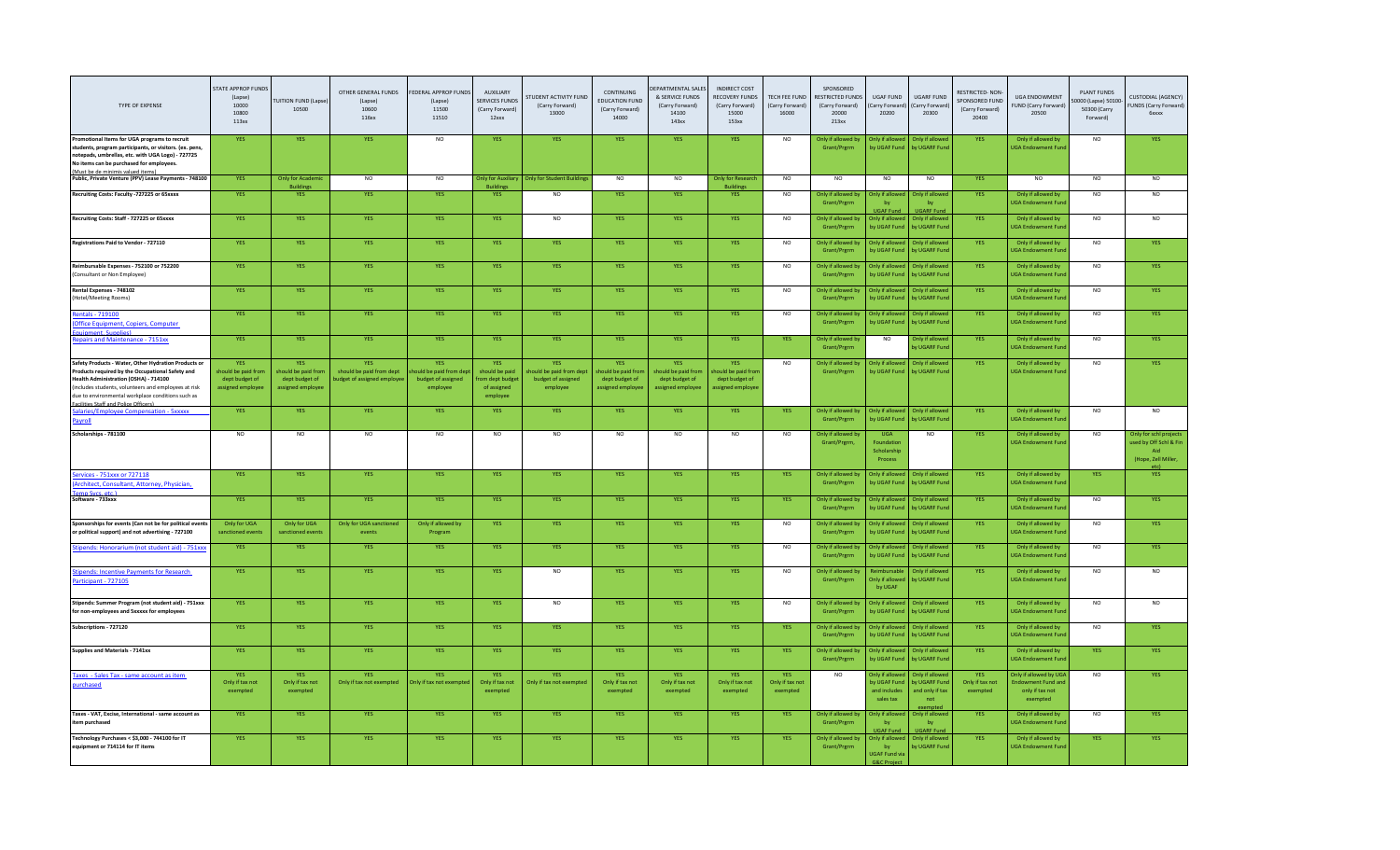| TYPE OF EXPENSE                                                                                                                                                                                                                                                                                         | STATE APPROP FUND!<br>(Lapse)<br>10000<br>10800<br>113xx          | <b>FUITION FUND (Lapse)</b><br>10500                                    | OTHER GENERAL FUNDS<br>(Lapse)<br>10600<br>116xx                     | FEDERAL APPROP FUNDS<br>(Lapse)<br>11500<br>11510                     | <b>AUXILIARY</b><br><b>SERVICES FUNDS</b><br>(Carry Forward)<br>12xxx | <b>STUDENT ACTIVITY FUND</b><br>(Carry Forward)<br>13000                | CONTINUING<br><b>EDUCATION FUND</b><br>(Carry Forward)<br>14000  | EPARTMENTAL SALES<br>& SERVICE FUNDS<br>(Carry Forward)<br>14100<br>143xx | <b>INDIRECT COST</b><br>RECOVERY FUNDS<br>(Carry Forward)<br>15000<br>153xx | TECH FEE FUND<br>(Carry Forward)<br>16000 | SPONSORED<br><b>RESTRICTED FUNDS</b><br>(Carry Forward)<br>20000<br>213xx | <b>UGAF FUND</b><br>Carry Forwar<br>20200                         | <b>UGARE FUND</b><br>Carry Forward<br>20300                                 | RESTRICTED-NON-<br>SPONSORED FUND<br>(Carry Forward)<br>20400 | <b>UGA ENDOWMENT</b><br><b>FUND (Carry Forward)</b><br>20500               | <b>PLANT FUNDS</b><br>0000 (Lapse) 5010<br>50300 (Carry<br>Forward) | CUSTODIAL (AGENCY)<br>FUNDS (Carry Forward)<br><b>6xxxx</b>                            |
|---------------------------------------------------------------------------------------------------------------------------------------------------------------------------------------------------------------------------------------------------------------------------------------------------------|-------------------------------------------------------------------|-------------------------------------------------------------------------|----------------------------------------------------------------------|-----------------------------------------------------------------------|-----------------------------------------------------------------------|-------------------------------------------------------------------------|------------------------------------------------------------------|---------------------------------------------------------------------------|-----------------------------------------------------------------------------|-------------------------------------------|---------------------------------------------------------------------------|-------------------------------------------------------------------|-----------------------------------------------------------------------------|---------------------------------------------------------------|----------------------------------------------------------------------------|---------------------------------------------------------------------|----------------------------------------------------------------------------------------|
| Promotional Items for UGA programs to recruit<br>students, program participants, or visitors, (ex. pens.<br>notepads, umbrellas, etc. with UGA Logo) - 727725<br>No items can be purchased for employees<br>(Must be de minimis valued items)                                                           | <b>YES</b>                                                        | <b>YES</b>                                                              | <b>YES</b>                                                           | <b>NO</b>                                                             | <b>YES</b>                                                            | <b>YES</b>                                                              | <b>YES</b>                                                       | <b>YES</b>                                                                | <b>YES</b>                                                                  | <b>NO</b>                                 | Only if allowed by<br>Grant/Prerm                                         | Only if allowe<br>by UGAF Fund                                    | Only if allower<br>by UGARF Fund                                            | <b>YES</b>                                                    | Only if allowed by<br><b>UGA Endowment Fund</b>                            | <b>NO</b>                                                           | <b>YES</b>                                                                             |
| Public, Private Venture (PPV) Lease Payments - 748100                                                                                                                                                                                                                                                   | <b>YES</b>                                                        | <b>Only for Academi</b><br><b>Building</b>                              | <b>NO</b>                                                            | <b>NO</b>                                                             | <b>Only for Auxiliary</b><br><b>Buildings</b>                         | <b>Only for Student Buildings</b>                                       | NO                                                               | <b>NO</b>                                                                 | <b>Only for Research</b><br><b>Buildings</b>                                | <b>NO</b>                                 | NO                                                                        | <b>NO</b>                                                         | N <sub>O</sub>                                                              | <b>YES</b>                                                    | <b>NO</b>                                                                  | <b>NO</b>                                                           | NO                                                                                     |
| Recruiting Costs: Faculty -727225 or 65xxxx                                                                                                                                                                                                                                                             | YES                                                               | <b>YES</b>                                                              | YES                                                                  | <b>YES</b>                                                            | YES                                                                   | $NO$                                                                    | YES                                                              | <b>YES</b>                                                                | YES                                                                         | <b>NO</b>                                 | Only if allowed by<br>Grant/Prgrm                                         | <b>Only if alloy</b><br>bv<br><b>UGAF Fund</b>                    | Inly if allow<br>bv<br><b>UGARF Fund</b>                                    | YES                                                           | Only if allowed by<br><b>JGA Endowment Fun</b>                             | <b>NO</b>                                                           | NO                                                                                     |
| Recruiting Costs: Staff - 727225 or 65xxxx                                                                                                                                                                                                                                                              | YES                                                               | <b>YES</b>                                                              | YES                                                                  | <b>YES</b>                                                            | <b>YES</b>                                                            | NO                                                                      | <b>YES</b>                                                       | <b>YES</b>                                                                | YES                                                                         | NO                                        | Only if allowed by<br>Grant/Prgrm                                         | Only if allow<br>by UGAF Fun                                      | Only if allowed<br><b>OV UGARF Fun</b>                                      | <b>YES</b>                                                    | Only if allowed by<br><b>UGA Endowment Fun</b>                             | NO                                                                  | NO                                                                                     |
| Registrations Paid to Vendor - 727110                                                                                                                                                                                                                                                                   | <b>YES</b>                                                        | <b>YES</b>                                                              | <b>YES</b>                                                           | YES.                                                                  | <b>YES</b>                                                            | <b>YES</b>                                                              | <b>YES</b>                                                       | <b>YES</b>                                                                | <b>YES</b>                                                                  | <b>NO</b>                                 | Only if allowed by<br>Grant/Prgrm                                         | <b>Only if allowed</b><br>by UGAF Fun                             | Only if allower<br>ov UGARF Fun                                             | <b>YES</b>                                                    | Only if allowed by<br><b>JGA Endowment Fun</b>                             | <b>NO</b>                                                           | <b>YES</b>                                                                             |
| Reimbursable Expenses - 752100 or 752200<br>(Consultant or Non Employee)                                                                                                                                                                                                                                | <b>YES</b>                                                        | <b>YES</b>                                                              | YES                                                                  | <b>YES</b>                                                            | <b>YES</b>                                                            | <b>YES</b>                                                              | <b>YES</b>                                                       | <b>YES</b>                                                                | YES                                                                         | <b>NO</b>                                 | Only if allowed by<br>Grant/Prgrm                                         | Only if allowe<br>by UGAF Fun                                     | Only if allowed<br>by UGARF Fun                                             | YES                                                           | Only if allowed by<br><b>UGA Endowment Fund</b>                            | <b>NO</b>                                                           | YES                                                                                    |
| Rental Expenses - 748102<br>(Hotel/Meeting Rooms)                                                                                                                                                                                                                                                       | YES                                                               | YES                                                                     | YES                                                                  | <b>YES</b>                                                            | YES                                                                   | <b>YES</b>                                                              | <b>YES</b>                                                       | <b>YES</b>                                                                | YES                                                                         | <b>NO</b>                                 | Only if allowed by<br>Grant/Prgrm                                         | Only if allowe<br>by UGAF Fund                                    | Only if allowed<br>by UGARF Fun                                             | <b>YES</b>                                                    | Only if allowed by<br><b>UGA Endowment Fund</b>                            | NO.                                                                 | <b>YES</b>                                                                             |
| Rentals - 719100<br>(Office Equipment, Copiers, Computer<br>ومثاله مرواته القمو                                                                                                                                                                                                                         | <b>YES</b>                                                        | <b>YES</b>                                                              | <b>YES</b>                                                           | <b>YES</b>                                                            | <b>YES</b>                                                            | <b>YES</b>                                                              | <b>YES</b>                                                       | <b>YES</b>                                                                | <b>YES</b>                                                                  | <b>NO</b>                                 | Only if allowed by<br>Grant/Prgrm                                         | Only if allowe<br>by UGAF Fund                                    | Only if allowed<br>by UGARF Fun                                             | <b>YES</b>                                                    | Only if allowed by<br><b>UGA Endowment Fund</b>                            | <b>NO</b>                                                           | <b>YES</b>                                                                             |
| Repairs and Maintenance - 7151xx                                                                                                                                                                                                                                                                        | <b>YES</b>                                                        | <b>YES</b>                                                              | <b>YES</b>                                                           | <b>YES</b>                                                            | <b>YES</b>                                                            | <b>YES</b>                                                              | <b>YES</b>                                                       | <b>YES</b>                                                                | <b>YES</b>                                                                  | <b>YES</b>                                | Only if allowed by<br>Grant/Prgrm                                         | <b>NO</b>                                                         | Only if allower<br>v UGARF Fun                                              | YES                                                           | Only if allowed by<br><b>JGA Endowment Fun</b>                             | <b>NO</b>                                                           | <b>YES</b>                                                                             |
| Safety Products - Water, Other Hydration Products or<br>Products required by the Occupational Safety and<br>Health Administration (OSHA) - 714100<br>lincludes students, volunteers and employees at risk<br>due to environmental workplace conditions such as<br>Facilities Staff and Police Officers) | YES<br>should be paid from<br>dept budget of<br>assigned employee | <b>YES</b><br>should be paid fron<br>dept budget of<br>assigned employe | <b>YES</b><br>should be paid from dept<br>udget of assigned employee | <b>YES</b><br>puld be paid from der<br>budget of assigned<br>employee | YES<br>should be paid<br>om dept budge<br>of assigned<br>employee     | <b>YES</b><br>hould be paid from dept<br>budget of assigned<br>employee | YES<br>should be paid fron<br>dept budget of<br>assigned employe | <b>YES</b><br>should be paid from<br>dept budget of<br>assigned employee  | YES<br>hould be paid froi<br>dept budget of<br>assigned employe             | N <sub>O</sub>                            | Only if allowed by<br>Grant/Prgrm                                         | Only if allowe<br>by UGAF Fund                                    | Only if allowed<br>by UGARF Fun                                             | <b>YES</b>                                                    | Only if allowed by<br><b>UGA Endowment Fund</b>                            | NO.                                                                 |                                                                                        |
| alaries/Employee Compensation - 5xxxxx<br>Payroll                                                                                                                                                                                                                                                       | <b>YES</b>                                                        | YES                                                                     | <b>YES</b>                                                           | <b>YES</b>                                                            | <b>YES</b>                                                            | YES                                                                     | <b>YES</b>                                                       | YES                                                                       | YES                                                                         | <b>YES</b>                                | Only if allowed by<br>Grant/Prgrm                                         | Only if allowed<br>by UGAF Fund                                   | Only if allowed<br>by UGARF Fun                                             | YES                                                           | Only if allowed by<br><b>UGA Endowment Fund</b>                            | <b>NO</b>                                                           | N <sub>O</sub>                                                                         |
| Scholarships - 781100                                                                                                                                                                                                                                                                                   | N <sub>O</sub>                                                    | N <sub>O</sub>                                                          | NO                                                                   | N <sub>O</sub>                                                        | NO.                                                                   | N <sub>O</sub>                                                          | NO                                                               | NO.                                                                       | NO                                                                          | N <sub>O</sub>                            | Only if allowed by<br>Grant/Prgrm,                                        | <b>UGA</b><br>Foundation<br>Scholarship<br>Process                | NO                                                                          | <b>YES</b>                                                    | Only if allowed by<br><b>UGA Endowment Fund</b>                            | <b>NO</b>                                                           | Only for schl projects<br>used by Off Schl & Fin<br>Aid<br>(Hope, Zell Miller,<br>etc) |
| Services - 751xxx or 727118<br>(Architect, Consultant, Attorney, Physician,<br>emn Syrs etc.)                                                                                                                                                                                                           | YES                                                               | <b>YES</b>                                                              | YES                                                                  | <b>YES</b>                                                            | YES                                                                   | <b>YES</b>                                                              | <b>YES</b>                                                       | <b>YES</b>                                                                | YES                                                                         | <b>YES</b>                                | Only if allowed by<br>Grant/Prgrm                                         | Only if allowed<br>by UGAF Fund                                   | Only if allowe<br>by UGARF Fund                                             | YES                                                           | Only if allowed by<br><b>UGA Endowment Fund</b>                            | <b>YES</b>                                                          | <b>YES</b>                                                                             |
| Software - 733xxx                                                                                                                                                                                                                                                                                       | <b>YES</b>                                                        | <b>YES</b>                                                              | YES                                                                  | <b>YES</b>                                                            | YES.                                                                  | <b>YES</b>                                                              | <b>YES</b>                                                       | <b>YES</b>                                                                | <b>YES</b>                                                                  | <b>YES</b>                                | Only if allowed by<br>Grant/Prgrm                                         | Only if allowe<br>by UGAF Fun                                     | Only if allower<br><b>OV UGARF Fun</b>                                      | <b>YES</b>                                                    | Only if allowed by<br><b>UGA Endowment Fund</b>                            | <b>NO</b>                                                           | <b>YES</b>                                                                             |
| Sponsorships for events (Can not be for political events<br>or political support) and not advertising - 727100                                                                                                                                                                                          | Only for UGA<br>sanctioned event                                  | Only for UGA<br>sanctioned events                                       | Only for UGA sanctioned<br>events                                    | Only if allowed by<br>Program                                         | <b>YES</b>                                                            | <b>YES</b>                                                              | <b>YES</b>                                                       | <b>YES</b>                                                                | <b>YES</b>                                                                  | <b>NO</b>                                 | Only if allowed by<br>Grant/Prgrm                                         | Only if allow<br>by UGAF Fun                                      | Only if allowed<br>by UGARF Fun                                             | YES                                                           | Only if allowed by<br><b>JGA Endowment Fun</b>                             | <b>NO</b>                                                           | <b>YES</b>                                                                             |
| Stipends: Honorarium (not student aid) - 751xx                                                                                                                                                                                                                                                          | YES                                                               | YES                                                                     | YES                                                                  | YES                                                                   | <b>YES</b>                                                            | YES                                                                     | <b>YES</b>                                                       | YES                                                                       | YES                                                                         | N <sub>O</sub>                            | Only if allowed by<br>Grant/Prgrm                                         | Only if allowed<br>by UGAF Fun                                    | Only if allowed<br>by UGARF Fun                                             | <b>YES</b>                                                    | Only if allowed by<br><b>JGA Endowment Fund</b>                            | <b>NO</b>                                                           | <b>YES</b>                                                                             |
| <b>Stipends: Incentive Payments for Research</b><br>Participant - 727105                                                                                                                                                                                                                                | YES                                                               | YES                                                                     | YES                                                                  | <b>YES</b>                                                            | YES                                                                   | $NO$                                                                    | <b>YES</b>                                                       | <b>YES</b>                                                                | YES                                                                         | <b>NO</b>                                 | Only if allowed by<br>Grant/Prgrm                                         | Reimbursable<br>Only if allowed<br>by UGAF                        | Only if allowed<br>by UGARF Fund                                            | YES                                                           | Only if allowed by<br><b>UGA Endowment Fund</b>                            | <b>NO</b>                                                           | NO                                                                                     |
| Stipends: Summer Program (not student aid) - 751xxx<br>for non-employees and 5xxxxx for employees                                                                                                                                                                                                       | YES                                                               | YES                                                                     | YES                                                                  | <b>YES</b>                                                            | YES                                                                   | <b>NO</b>                                                               | <b>YES</b>                                                       | <b>YES</b>                                                                | YES                                                                         | <b>NO</b>                                 | Only if allowed by<br>Grant/Prgrm                                         | Only if allowed<br>by UGAF Fun                                    | Only if allowed<br>by UGARF Fun                                             | <b>YES</b>                                                    | Only if allowed by<br><b>UGA Endowment Fun</b>                             | <b>NO</b>                                                           | N <sub>O</sub>                                                                         |
| Subscriptions - 727120                                                                                                                                                                                                                                                                                  | <b>YES</b>                                                        | <b>YES</b>                                                              | <b>YES</b>                                                           | <b>YES</b>                                                            | <b>YES</b>                                                            | <b>YES</b>                                                              | <b>YES</b>                                                       | <b>YES</b>                                                                | <b>YES</b>                                                                  | <b>YES</b>                                | Only if allowed by<br>Grant/Prgrm                                         | Only if allowed<br>by UGAF Fun                                    | Only if allowed<br>by UGARF Fun                                             | <b>YES</b>                                                    | Only if allowed by<br><b>JGA Endowment Fund</b>                            | NO.                                                                 | <b>YES</b>                                                                             |
| <b>Supplies and Materials - 7141xx</b>                                                                                                                                                                                                                                                                  | YES                                                               | <b>YES</b>                                                              | YES                                                                  | <b>YES</b>                                                            | <b>YES</b>                                                            | <b>YES</b>                                                              | <b>YES</b>                                                       | <b>YES</b>                                                                | <b>YES</b>                                                                  | YES                                       | Only if allowed by<br>Grant/Prgrm                                         | Only if allowe<br>by UGAF Fund                                    | Only if allowed<br>by UGARF Fun                                             | <b>YES</b>                                                    | Only if allowed by<br><b>JGA Endowment Fund</b>                            | <b>YES</b>                                                          | <b>YFS</b>                                                                             |
| Taxes - Sales Tax - same account as item<br>purchased                                                                                                                                                                                                                                                   | YES<br>Only if tax not<br>exempted                                | YES<br>Only if tax not<br>exempted                                      | <b>YES</b><br>Only if tax not exempted                               | <b>YES</b><br>Only if tax not exempte                                 | YES<br>Only if tax not<br>exempted                                    | YES<br>Only if tax not exempted                                         | <b>YES</b><br>Only if tax not<br>exempted                        | YES<br>Only if tax not<br>exempted                                        | YES<br>Only if tax not<br>exempted                                          | YES<br>Only if tax not<br>exempted        | N <sub>O</sub>                                                            | <b>Only if allowe</b><br>hy UGAF Fun<br>and includes<br>sales tax | Only if allower<br><b>N UGARE Fun</b><br>and only if tax<br>not<br>exempted | <b>YES</b><br>Only if tax not<br>exempted                     | Only if allowed by UGA<br>ndowment Fund and<br>only if tax not<br>exempted | <b>NO</b>                                                           |                                                                                        |
| Taxes - VAT, Excise, International - same account as<br>item purchased                                                                                                                                                                                                                                  | <b>YES</b>                                                        | <b>YES</b>                                                              | <b>YES</b>                                                           | <b>YES</b>                                                            | <b>YES</b>                                                            | <b>YES</b>                                                              | <b>YES</b>                                                       | <b>YES</b>                                                                | <b>YES</b>                                                                  | <b>YES</b>                                | Only if allowed by<br>Grant/Prgrm                                         | Only if allowe<br>by<br><b>IGAF Fund</b>                          | Only if allowed<br>by<br><b>UGARF Fund</b>                                  | <b>YES</b>                                                    | Only if allowed by<br><b>JGA Endowment Fund</b>                            | <b>NO</b>                                                           |                                                                                        |
| Technology Purchases < \$3,000 - 744100 for IT<br>equipment or 714114 for IT items                                                                                                                                                                                                                      | YES                                                               | <b>YES</b>                                                              | YES                                                                  | <b>YES</b>                                                            | YES                                                                   | YES                                                                     | <b>YES</b>                                                       | <b>YES</b>                                                                | <b>YES</b>                                                                  | YES                                       | Only if allowed by<br>Grant/Prgrm                                         | Only if allowe<br>by<br><b>UGAF Fund vi</b><br>G&C Pre            | Only if allower<br>by UGARF Fun                                             | <b>YES</b>                                                    | Only if allowed by<br><b>JGA Endowment Fund</b>                            | YES                                                                 | YES                                                                                    |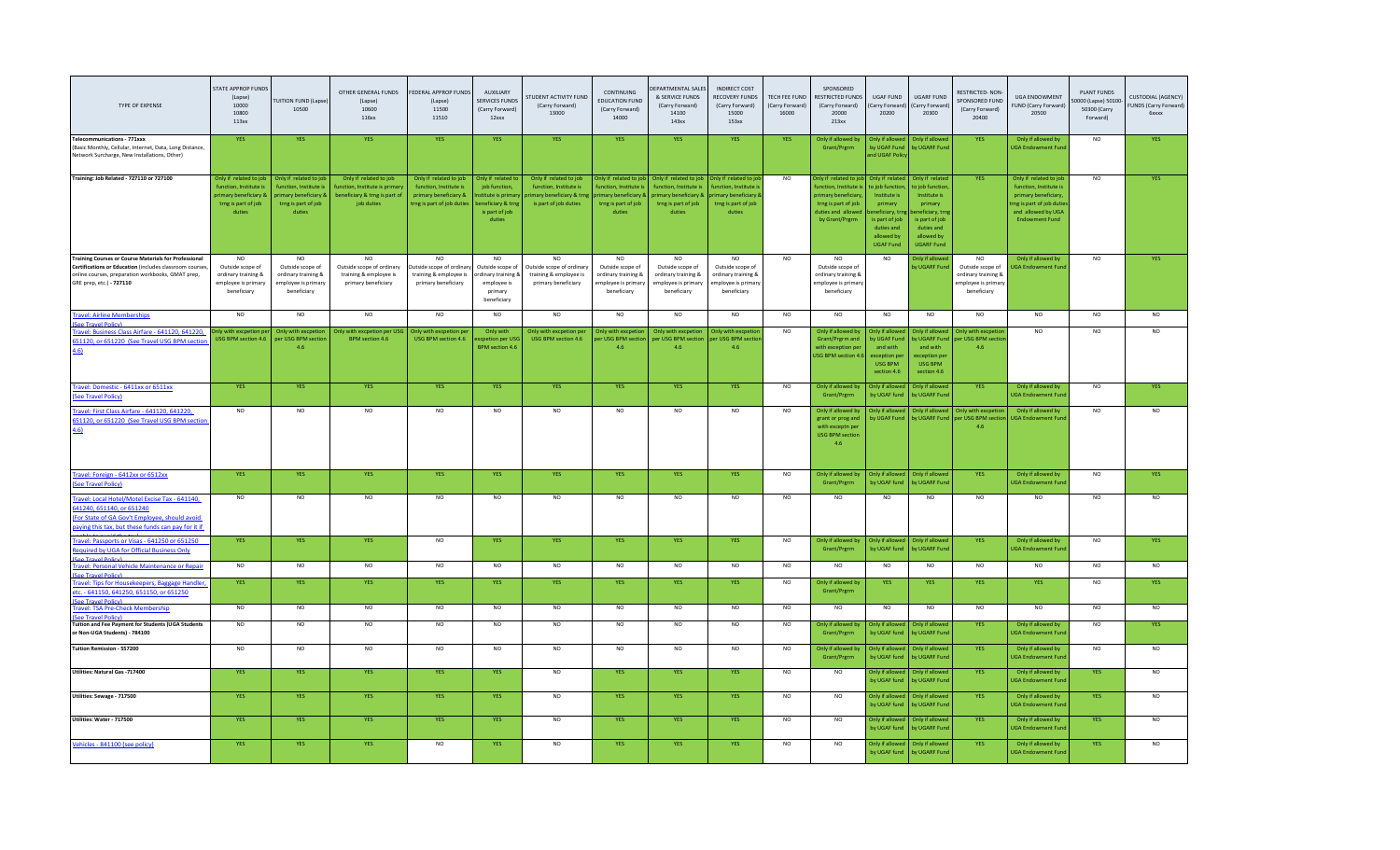| TYPE OF EXPENSE                                                                                                                                                                                         | STATE APPROP FUNDS<br>(Lapse)<br>10000<br>10800<br>113xx                                                              | <b>FUITION FUND (Lapse</b><br>10500                                                                        | OTHER GENERAL FUNDS<br>(Lapse)<br>10600<br>116xx                                                      | FEDERAL APPROP FUNDS<br>(Lapse)<br>11500<br>11510                                                       | AUXILIARY<br><b>SERVICES FUNDS</b><br>(Carry Forward)<br>12 <sub>xx</sub>                                 | <b>STUDENT ACTIVITY FUND</b><br>(Carry Forward)<br>13000                                               | CONTINUING<br><b>EDUCATION FUND</b><br>(Carry Forward)<br>14000                                         | EPARTMENTAL SALES<br>& SERVICE FUNDS<br>(Carry Forward)<br>14100<br>143xx                                             | <b>INDIRECT COST</b><br><b>RECOVERY FUNDS</b><br>(Carry Forward)<br>15000<br>153xx                 | TECH FEE FUND<br>(Carry Forward<br>16000 | SPONSORED<br>RESTRICTED FUNDS<br>(Carry Forward)<br>20000<br>213xx                                                            | <b>UGAF FUND</b><br>Carry Forward<br>20200                                                                                                     | <b>UGARF FUND</b><br>(Carry Forward<br>20300                                                                                                      | <b>RESTRICTED-NON</b><br>SPONSORED FUND<br>(Carry Forward)<br>20400                 | <b>UGA ENDOWMENT</b><br>UND (Carry Forward)<br>20500                                                                                                | <b>PLANT FUNDS</b><br>0000 (Lapse) 50100<br>50300 (Carry<br>Forward) | <b>CUSTODIAL (AGENCY)</b><br>FUNDS (Carry Forward)<br><b>6xxxx</b> |
|---------------------------------------------------------------------------------------------------------------------------------------------------------------------------------------------------------|-----------------------------------------------------------------------------------------------------------------------|------------------------------------------------------------------------------------------------------------|-------------------------------------------------------------------------------------------------------|---------------------------------------------------------------------------------------------------------|-----------------------------------------------------------------------------------------------------------|--------------------------------------------------------------------------------------------------------|---------------------------------------------------------------------------------------------------------|-----------------------------------------------------------------------------------------------------------------------|----------------------------------------------------------------------------------------------------|------------------------------------------|-------------------------------------------------------------------------------------------------------------------------------|------------------------------------------------------------------------------------------------------------------------------------------------|---------------------------------------------------------------------------------------------------------------------------------------------------|-------------------------------------------------------------------------------------|-----------------------------------------------------------------------------------------------------------------------------------------------------|----------------------------------------------------------------------|--------------------------------------------------------------------|
| <b>Telecommunications - 771xxx</b><br>(Basic Monthly, Cellular, Internet, Data, Long Distance,<br>Network Surcharge, New Installations, Other)                                                          | YES                                                                                                                   | YES                                                                                                        | YES                                                                                                   | <b>YES</b>                                                                                              | YES                                                                                                       | YES                                                                                                    | <b>YES</b>                                                                                              | YES                                                                                                                   | YES                                                                                                | <b>YES</b>                               | Only if allowed by<br>Grant/Prgrm                                                                                             | Inly if allo<br>by UGAF Fund<br>and UGAF Polic                                                                                                 | Only if allow<br>by UGARF Fund                                                                                                                    | YES                                                                                 | Only if allowed by<br><b>UGA Endowment Fund</b>                                                                                                     | <b>NO</b>                                                            | <b>YES</b>                                                         |
| Training: Job Related - 727110 or 727100                                                                                                                                                                | Only if related to job<br>function, Institute is<br><b>primary beneficiary &amp;</b><br>trng is part of job<br>duties | Only if related to job<br>function, Institute is<br>primary beneficiary &<br>trng is part of job<br>duties | Only if related to job<br>unction, Institute is primar<br>beneficiary & trng is part of<br>job duties | Only if related to job<br>function, Institute is<br>primary beneficiary &<br>trng is part of job duties | Only if related to<br>job function,<br>stitute is primar<br>eneficiary & trng<br>is part of job<br>duties | Only if related to job<br>function, Institute is<br>rimary beneficiary & trns<br>is part of job duties | Only if related to job<br>unction, Institute i<br>rimary beneficiary &<br>trng is part of job<br>duties | Only if related to job<br>function, Institute is<br><b>primary beneficiary &amp;</b><br>trng is part of job<br>duties | Only if related to id<br>unction, Institute i<br>mary beneficiary<br>trng is part of job<br>duties | <b>NO</b>                                | nly if related to io<br>nction, Institute<br>rimary benefician<br>trng is part of job<br>duties and allowed<br>by Grant/Prgrm | Only if related<br>p job functio<br>Institute is<br>primary<br>neficiary, tr<br>is part of job<br>duties and<br>allowed by<br><b>UGAF Fund</b> | Only if related<br>o job function<br>Institute is<br>primary<br>neficiary, trn<br>is part of job<br>duties and<br>allowed by<br><b>UGARF Fund</b> | <b>YES</b>                                                                          | Only if related to job<br>function, Institute is<br>primary beneficiary.<br>ng is part of job dution<br>and allowed by UGA<br><b>Endowment Fund</b> | <b>NO</b>                                                            |                                                                    |
| <b>Training Courses or Course Materials for Professiona</b><br>Certifications or Education (includes classroom courses<br>online courses, preparation workbooks, GMAT prep,<br>GRE prep, etc.) - 727110 | <b>NO</b><br>Outside scope of<br>ordinary training &<br>employee is primary<br>beneficiary                            | N <sub>O</sub><br>Outside scope of<br>ordinary training &<br>employee is primary<br>beneficiary            | N <sub>O</sub><br>Outside scope of ordinary<br>training & employee is<br>primary beneficiary          | Outside scope of ordinary<br>training & employee is<br>primary beneficiary                              | <b>NO</b><br>Outside scope of<br>ordinary training &<br>employee is<br>primary<br>beneficiary             | Outside scope of ordinary<br>training & employee is<br>primary beneficiary                             | N <sub>O</sub><br>Outside scope of<br>ordinary training &<br>mployee is primary<br>beneficiary          | Outside scope of<br>ordinary training &<br>employee is primary<br>beneficiary                                         | Outside scope of<br>ordinary training &<br>mployee is primary<br>beneficiary                       | <b>NO</b>                                | N <sub>O</sub><br>Outside scope of<br>ordinary training &<br>employee is primary<br>beneficiary                               | <b>NO</b>                                                                                                                                      | Only if allowe<br><b>V UGARF Fun</b>                                                                                                              | NO<br>Outside scope of<br>ordinary training 8<br>employee is primary<br>beneficiary | Only if allowed by<br><b>JGA Endowment Fun</b>                                                                                                      | <b>NO</b>                                                            | <b>YES</b>                                                         |
| <b>Travel: Airline Memberships</b><br><b>PP Travel Policy</b>                                                                                                                                           | <b>NO</b>                                                                                                             | <b>NO</b>                                                                                                  | <b>NO</b>                                                                                             | <b>NO</b>                                                                                               | <b>NO</b>                                                                                                 | <b>NO</b>                                                                                              | <b>NO</b>                                                                                               | <b>NO</b>                                                                                                             | <b>NO</b>                                                                                          | <b>NO</b>                                | NO.                                                                                                                           | <b>NO</b>                                                                                                                                      | <b>NO</b>                                                                                                                                         | NO                                                                                  | <b>NO</b>                                                                                                                                           | <b>NO</b>                                                            | N <sub>O</sub>                                                     |
| Travel: Business Class Airfare - 641120, 641220,<br>51120, or 651220 (See Travel USG BPM section<br>4.6)                                                                                                | nly with excpetion p<br>USG BPM section 4.6                                                                           | Only with excoetio<br>per USG BPM section<br>4.6                                                           | Only with excpetion per US<br><b>BPM</b> section 4.6                                                  | Only with excpetion pe<br>USG BPM section 4.6                                                           | Only with<br>xcpetion per USG<br><b>BPM</b> section 4.6                                                   | Only with excoetion per<br>USG BPM section 4.6                                                         | Only with excpeti<br>per USG BPM sectio<br>4.6                                                          | Only with excoetion<br>per USG BPM section per USG BPM sectio<br>4.6                                                  | Only with excpetio<br>4.6                                                                          | <b>NO</b>                                | Only if allowed by<br>Grant/Prgrm and<br>with exception per<br><b>JSG BPM section 4.6</b>                                     | Only if allow<br>by UGAF Fund<br>and with<br>exception pe<br><b>USG BPM</b><br>section 4.6                                                     | Only if allowed<br>and with<br>exception per<br><b>USG RPM</b><br>section 4.6                                                                     | Only with excpeti<br>y UGARF Fund per USG BPM secti<br>4.6                          | NO.                                                                                                                                                 | N <sub>O</sub>                                                       | NO.                                                                |
| Travel: Domestic - 6411xx or 6511xx<br>See Travel Policy)                                                                                                                                               | <b>YES</b>                                                                                                            | <b>YES</b>                                                                                                 | <b>YES</b>                                                                                            | <b>YES</b>                                                                                              | <b>YES</b>                                                                                                | <b>YES</b>                                                                                             | <b>YES</b>                                                                                              | <b>YES</b>                                                                                                            | <b>YES</b>                                                                                         | <b>NO</b>                                | Only if allowed by<br>Grant/Prgrm                                                                                             | Only if allowed<br>by UGAF fund                                                                                                                | Only if allowed<br>by UGARF Fund                                                                                                                  | <b>YES</b>                                                                          | Only if allowed by<br><b>UGA Endowment Fun</b>                                                                                                      | <b>NO</b>                                                            | <b>YFS</b>                                                         |
| Travel: First Class Airfare - 641120, 641220,<br>51120, or 651220 (See Travel USG BPM section<br>4.61                                                                                                   | $_{\sf NO}$                                                                                                           | $_{\sf NO}$                                                                                                | NO                                                                                                    | <b>NO</b>                                                                                               | <b>NO</b>                                                                                                 | <b>NO</b>                                                                                              | NO                                                                                                      | <b>NO</b>                                                                                                             | <b>NO</b>                                                                                          | <b>NO</b>                                | Only if allowed by<br>grant or prog and<br>with exceptn per<br><b>USG BPM section</b><br>4.6                                  | <b>Only if allow</b><br>by UGAF Fund                                                                                                           | Only if allowed<br>by UGARF Fund                                                                                                                  | <b>Only with excp</b><br>per USG BPM se<br>4.6                                      | Only if allowed by<br><b>JGA Endowment Fun</b>                                                                                                      | <b>NO</b>                                                            |                                                                    |
| Travel: Foreign - 6412xx or 6512xx<br>See Travel Policy)                                                                                                                                                | YES                                                                                                                   | <b>YES</b>                                                                                                 | <b>YES</b>                                                                                            | <b>YES</b>                                                                                              | <b>YES</b>                                                                                                | <b>YES</b>                                                                                             | <b>YES</b>                                                                                              | <b>YES</b>                                                                                                            | <b>YES</b>                                                                                         | $_{\sf NO}$                              | Only if allowed by<br>Grant/Prgrm                                                                                             | Only if allowe<br>by UGAF fund                                                                                                                 | Only if allowed<br>by UGARF Fund                                                                                                                  | <b>YES</b>                                                                          | Only if allowed by<br><b>UGA Endowment Fun</b>                                                                                                      | NQ                                                                   | YFS                                                                |
| Travel: Local Hotel/Motel Excise Tax - 641140,<br>641240, 651140, or 651240<br>For State of GA Gov't Employee, should avoid<br>paying this tax, but these funds can pay for it if                       | <b>NO</b>                                                                                                             | N <sub>O</sub>                                                                                             | <b>NO</b>                                                                                             | <b>NO</b>                                                                                               | <b>NO</b>                                                                                                 | <b>NO</b>                                                                                              | NO                                                                                                      | <b>NO</b>                                                                                                             | <b>NO</b>                                                                                          | <b>NO</b>                                | NO.                                                                                                                           | <b>NO</b>                                                                                                                                      | <b>NO</b>                                                                                                                                         | NO                                                                                  | <b>NO</b>                                                                                                                                           | <b>NO</b>                                                            | N <sub>O</sub>                                                     |
| Travel: Passports or Visas - 641250 or 651250<br>Required by UGA for Official Business Only                                                                                                             | YES                                                                                                                   | <b>YES</b>                                                                                                 | <b>YES</b>                                                                                            | NO                                                                                                      | YES                                                                                                       | <b>YES</b>                                                                                             | <b>YES</b>                                                                                              | YES                                                                                                                   | YES                                                                                                | NO                                       | Only if allowed b<br>Grant/Prgrm                                                                                              | <b>Only if allowe</b><br>by UGAF fund                                                                                                          | Only if allowe<br>by UGARF Fun                                                                                                                    | <b>YES</b>                                                                          | Only if allowed by<br><b>UGA Endowment Fun</b>                                                                                                      | NO                                                                   | <b>YES</b>                                                         |
| Travel: Personal Vehicle Maintenance or Repair<br><b>PART Travel Policy</b>                                                                                                                             | NO                                                                                                                    | $_{\sf NO}$                                                                                                | NO                                                                                                    | <b>NO</b>                                                                                               | <b>NO</b>                                                                                                 | $NO$                                                                                                   | <b>NO</b>                                                                                               | <b>NO</b>                                                                                                             | <b>NO</b>                                                                                          | <b>NO</b>                                | NO.                                                                                                                           | <b>NO</b>                                                                                                                                      | N <sub>O</sub>                                                                                                                                    | NO                                                                                  | NO.                                                                                                                                                 | <b>NO</b>                                                            | N <sub>O</sub>                                                     |
| <b>Travel: Tips for Housekeepers, Baggage Handle</b><br>tc. - 641150, 641250, 651150, or 651250                                                                                                         | YES                                                                                                                   | <b>YES</b>                                                                                                 | <b>YES</b>                                                                                            | <b>YES</b>                                                                                              | <b>YES</b>                                                                                                | YES                                                                                                    | <b>YES</b>                                                                                              | <b>YES</b>                                                                                                            | <b>YES</b>                                                                                         | <b>NO</b>                                | Only if allowed b<br>Grant/Prgrm                                                                                              | <b>YES</b>                                                                                                                                     | <b>YES</b>                                                                                                                                        | <b>YES</b>                                                                          | <b>YES</b>                                                                                                                                          | <b>NO</b>                                                            | <b>YFS</b>                                                         |
| <b>Travel: TSA Pre-Check Membership</b><br>on Travel Balicu                                                                                                                                             | N <sub>O</sub>                                                                                                        | $_{\sf NO}$                                                                                                | <b>NO</b>                                                                                             | NO                                                                                                      | <b>NO</b>                                                                                                 | <b>NO</b>                                                                                              | NO                                                                                                      | <b>NO</b>                                                                                                             | <b>NO</b>                                                                                          | <b>NO</b>                                | NO                                                                                                                            | N <sub>O</sub>                                                                                                                                 | <b>NO</b>                                                                                                                                         | <b>NO</b>                                                                           | <b>NO</b>                                                                                                                                           | <b>NO</b>                                                            | NO.                                                                |
| Tuition and Fee Payment for Students (UGA Students<br>or Non-UGA Students) - 784100                                                                                                                     | <b>NO</b>                                                                                                             | <b>NO</b>                                                                                                  | <b>NO</b>                                                                                             | <b>NO</b>                                                                                               | <b>NO</b>                                                                                                 | <b>NO</b>                                                                                              | <b>NO</b>                                                                                               | <b>NO</b>                                                                                                             | <b>NO</b>                                                                                          | <b>NO</b>                                | Only if allowed b<br>Grant/Prerm                                                                                              | Inly if all<br>by UGAF fund                                                                                                                    | Only if allow<br>by UGARF Fund                                                                                                                    | <b>YES</b>                                                                          | Only if allowed by<br><b>UGA Endowment Fun</b>                                                                                                      | <b>NO</b>                                                            | <b>YES</b>                                                         |
| Tuition Remission - 557200                                                                                                                                                                              | N <sub>O</sub>                                                                                                        | NO                                                                                                         | NO                                                                                                    | NO                                                                                                      | NO                                                                                                        | NQ                                                                                                     | NO                                                                                                      | N <sub>O</sub>                                                                                                        | N <sub>O</sub>                                                                                     | NO                                       | Only if allowed by<br>Grant/Prgrm                                                                                             | Only if allowed<br>by UGAF fund                                                                                                                | Only if allowed<br>by UGARF Fund                                                                                                                  | <b>YES</b>                                                                          | Only if allowed by<br><b>JGA Endowment Fund</b>                                                                                                     | NO                                                                   | NO.                                                                |
| Utilities: Natural Gas -717400                                                                                                                                                                          | YES                                                                                                                   | YES                                                                                                        | YES                                                                                                   | <b>YES</b>                                                                                              | YES                                                                                                       | <b>NO</b>                                                                                              | <b>YES</b>                                                                                              | YES                                                                                                                   | <b>YES</b>                                                                                         | <b>NO</b>                                | <b>NO</b>                                                                                                                     | Only if allowe<br>by UGAF fund                                                                                                                 | Only if allowed<br>by UGARF Fund                                                                                                                  | <b>YES</b>                                                                          | Only if allowed by<br><b>UGA Endowment Fund</b>                                                                                                     | <b>YES</b>                                                           | <b>NO</b>                                                          |
| Utilities: Sewage - 717500                                                                                                                                                                              | YES                                                                                                                   | <b>YES</b>                                                                                                 | YES                                                                                                   | <b>YES</b>                                                                                              | YES                                                                                                       | <b>NO</b>                                                                                              | <b>YES</b>                                                                                              | YES                                                                                                                   | YES                                                                                                | <b>NO</b>                                | NO.                                                                                                                           | Only if allowe<br>by UGAF fund                                                                                                                 | Only if allowed<br>by UGARF Fun                                                                                                                   | YES                                                                                 | Only if allowed by<br><b>UGA Endowment Fun</b>                                                                                                      | YES                                                                  |                                                                    |
| Utilities: Water - 717500                                                                                                                                                                               | YES                                                                                                                   | YES                                                                                                        | YES                                                                                                   | YES                                                                                                     | YES                                                                                                       | <b>NO</b>                                                                                              | <b>YES</b>                                                                                              | YES                                                                                                                   | YES                                                                                                | <b>NO</b>                                | NO.                                                                                                                           | <b>Only if allowe</b><br>by UGAF fund                                                                                                          | Only if allowed<br>by UGARF Fun                                                                                                                   | <b>YES</b>                                                                          | Only if allowed by<br><b>JGA Endowment Fun</b>                                                                                                      | YES                                                                  | NO.                                                                |
| Vehicles - 841100 (see policy)                                                                                                                                                                          | YES                                                                                                                   | <b>YES</b>                                                                                                 | <b>YES</b>                                                                                            | <b>NO</b>                                                                                               | YES.                                                                                                      | <b>NO</b>                                                                                              | <b>YES</b>                                                                                              | YES.                                                                                                                  | <b>YES</b>                                                                                         | <b>NO</b>                                | <b>NO</b>                                                                                                                     | Only if allowed<br>by UGAF fund                                                                                                                | Only if allowed<br>by UGARF Fund                                                                                                                  | <b>YES</b>                                                                          | Only if allowed by<br><b>JGA Endowment Fund</b>                                                                                                     | YES                                                                  | <b>NO</b>                                                          |